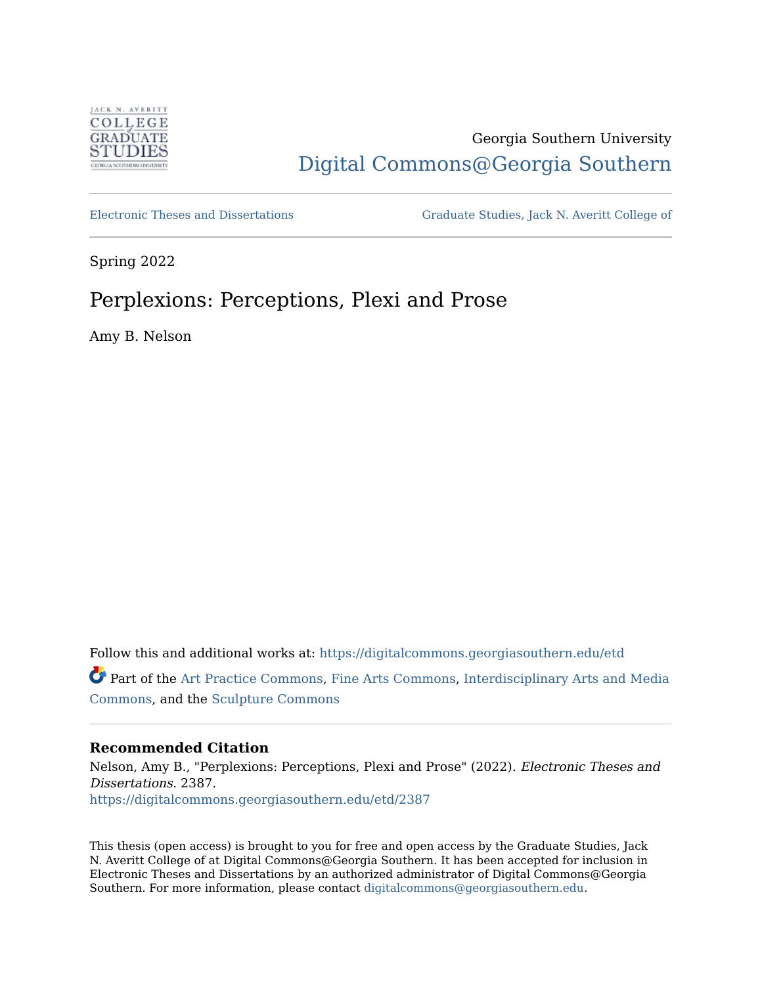

# Georgia Southern University [Digital Commons@Georgia Southern](https://digitalcommons.georgiasouthern.edu/)

[Electronic Theses and Dissertations](https://digitalcommons.georgiasouthern.edu/etd) [Graduate Studies, Jack N. Averitt College of](https://digitalcommons.georgiasouthern.edu/cogs) 

Spring 2022

# Perplexions: Perceptions, Plexi and Prose

Amy B. Nelson

Follow this and additional works at: [https://digitalcommons.georgiasouthern.edu/etd](https://digitalcommons.georgiasouthern.edu/etd?utm_source=digitalcommons.georgiasouthern.edu%2Fetd%2F2387&utm_medium=PDF&utm_campaign=PDFCoverPages) 

Part of the [Art Practice Commons,](http://network.bepress.com/hgg/discipline/509?utm_source=digitalcommons.georgiasouthern.edu%2Fetd%2F2387&utm_medium=PDF&utm_campaign=PDFCoverPages) [Fine Arts Commons](http://network.bepress.com/hgg/discipline/1141?utm_source=digitalcommons.georgiasouthern.edu%2Fetd%2F2387&utm_medium=PDF&utm_campaign=PDFCoverPages), [Interdisciplinary Arts and Media](http://network.bepress.com/hgg/discipline/1137?utm_source=digitalcommons.georgiasouthern.edu%2Fetd%2F2387&utm_medium=PDF&utm_campaign=PDFCoverPages) [Commons](http://network.bepress.com/hgg/discipline/1137?utm_source=digitalcommons.georgiasouthern.edu%2Fetd%2F2387&utm_medium=PDF&utm_campaign=PDFCoverPages), and the [Sculpture Commons](http://network.bepress.com/hgg/discipline/1341?utm_source=digitalcommons.georgiasouthern.edu%2Fetd%2F2387&utm_medium=PDF&utm_campaign=PDFCoverPages)

### **Recommended Citation**

Nelson, Amy B., "Perplexions: Perceptions, Plexi and Prose" (2022). Electronic Theses and Dissertations. 2387. [https://digitalcommons.georgiasouthern.edu/etd/2387](https://digitalcommons.georgiasouthern.edu/etd/2387?utm_source=digitalcommons.georgiasouthern.edu%2Fetd%2F2387&utm_medium=PDF&utm_campaign=PDFCoverPages) 

This thesis (open access) is brought to you for free and open access by the Graduate Studies, Jack N. Averitt College of at Digital Commons@Georgia Southern. It has been accepted for inclusion in Electronic Theses and Dissertations by an authorized administrator of Digital Commons@Georgia Southern. For more information, please contact [digitalcommons@georgiasouthern.edu](mailto:digitalcommons@georgiasouthern.edu).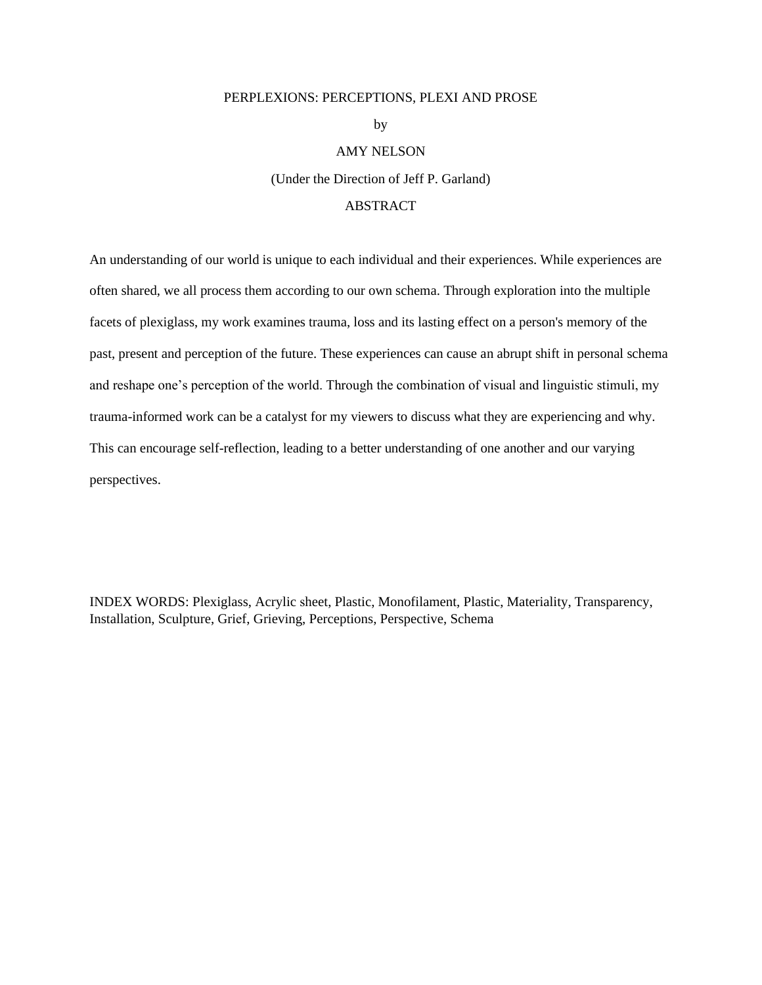#### PERPLEXIONS: PERCEPTIONS, PLEXI AND PROSE

by

#### AMY NELSON

(Under the Direction of Jeff P. Garland)

### ABSTRACT

An understanding of our world is unique to each individual and their experiences. While experiences are often shared, we all process them according to our own schema. Through exploration into the multiple facets of plexiglass, my work examines trauma, loss and its lasting effect on a person's memory of the past, present and perception of the future. These experiences can cause an abrupt shift in personal schema and reshape one's perception of the world. Through the combination of visual and linguistic stimuli, my trauma-informed work can be a catalyst for my viewers to discuss what they are experiencing and why. This can encourage self-reflection, leading to a better understanding of one another and our varying perspectives.

INDEX WORDS: Plexiglass, Acrylic sheet, Plastic, Monofilament, Plastic, Materiality, Transparency, Installation, Sculpture, Grief, Grieving, Perceptions, Perspective, Schema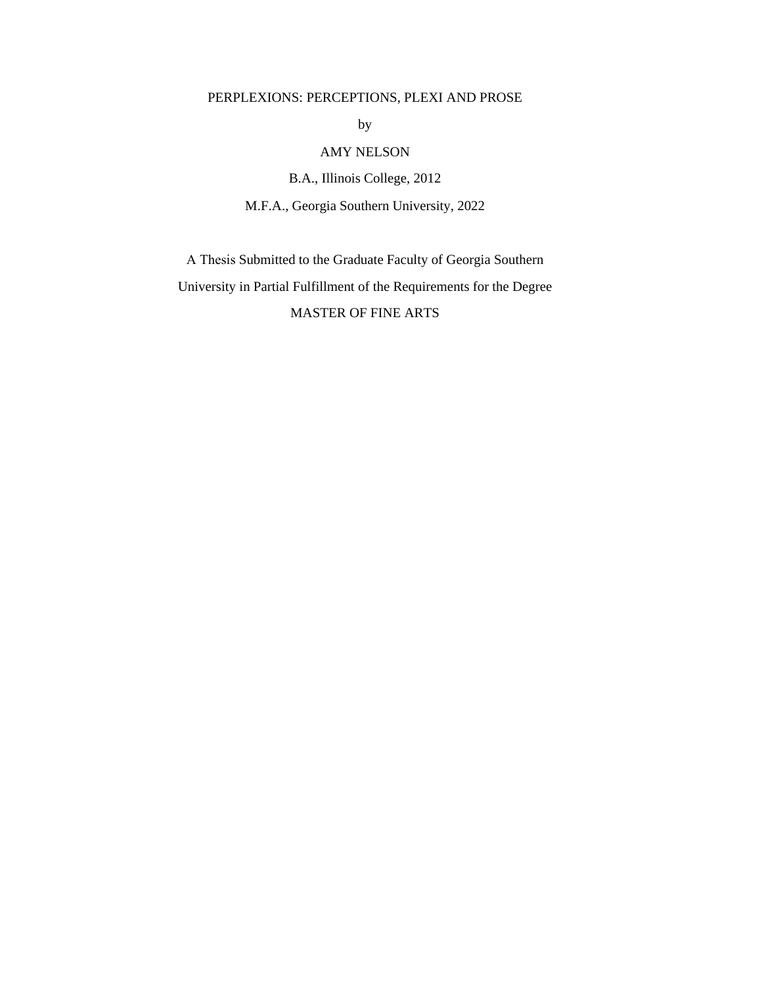### PERPLEXIONS: PERCEPTIONS, PLEXI AND PROSE

by

### AMY NELSON

B.A., Illinois College, 2012 M.F.A., Georgia Southern University, 2022

A Thesis Submitted to the Graduate Faculty of Georgia Southern University in Partial Fulfillment of the Requirements for the Degree MASTER OF FINE ARTS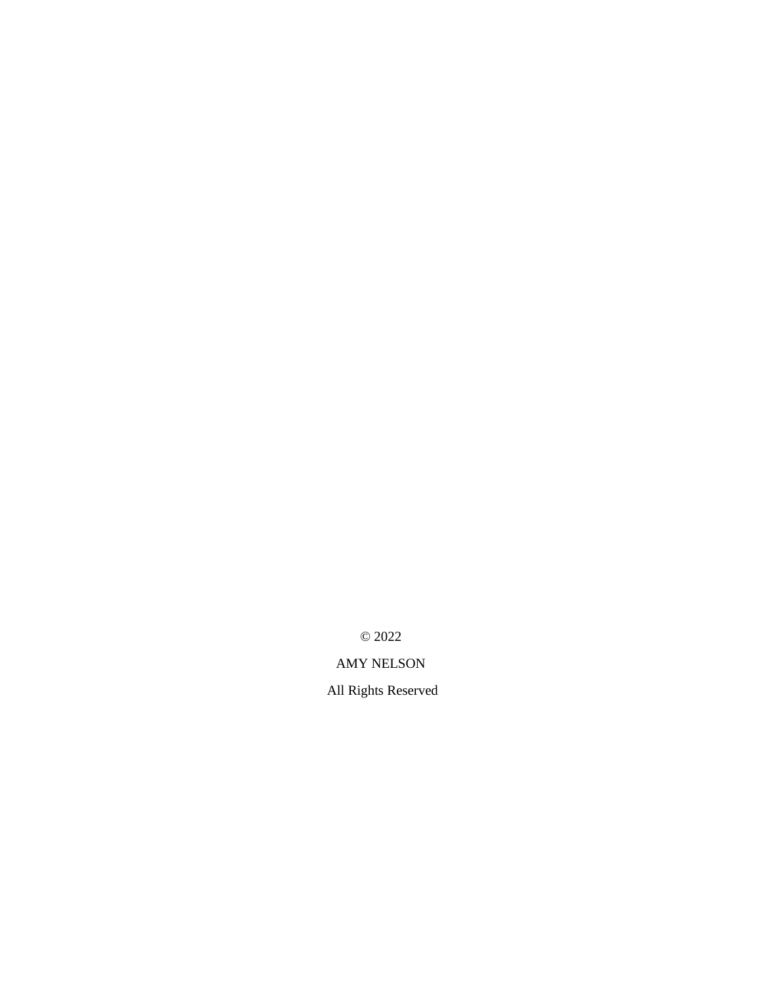© 2022

# AMY NELSON

All Rights Reserved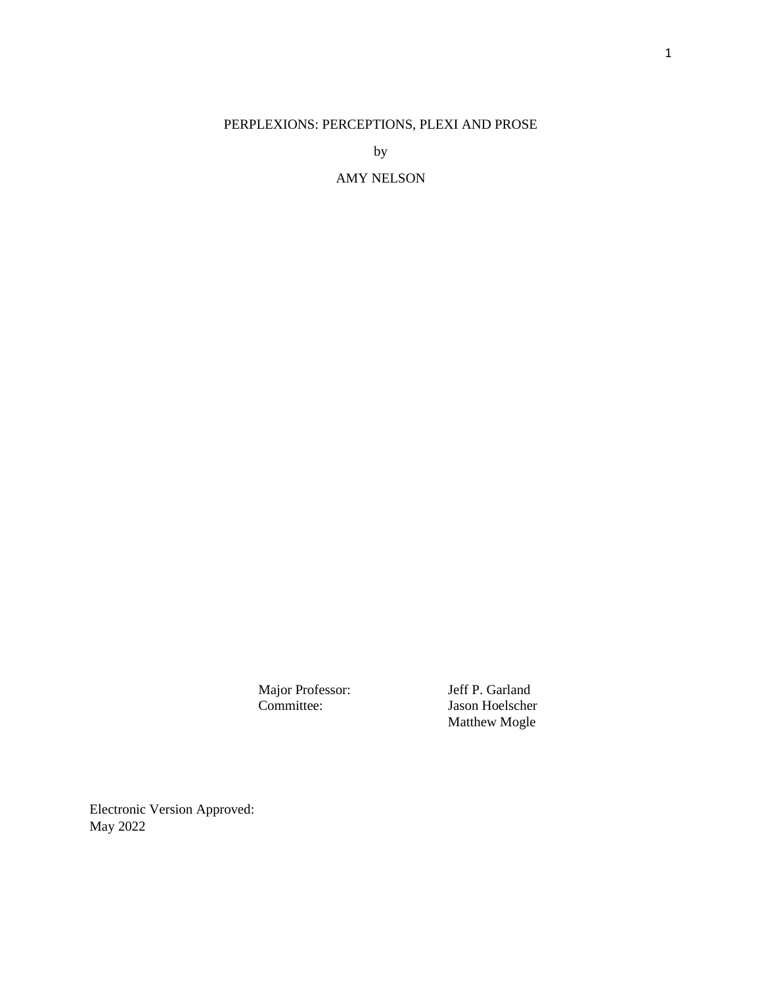## PERPLEXIONS: PERCEPTIONS, PLEXI AND PROSE

by

### AMY NELSON

Major Professor: Jeff P. Garland<br>Committee: Jason Hoelscher

Jason Hoelscher Matthew Mogle

Electronic Version Approved: May 2022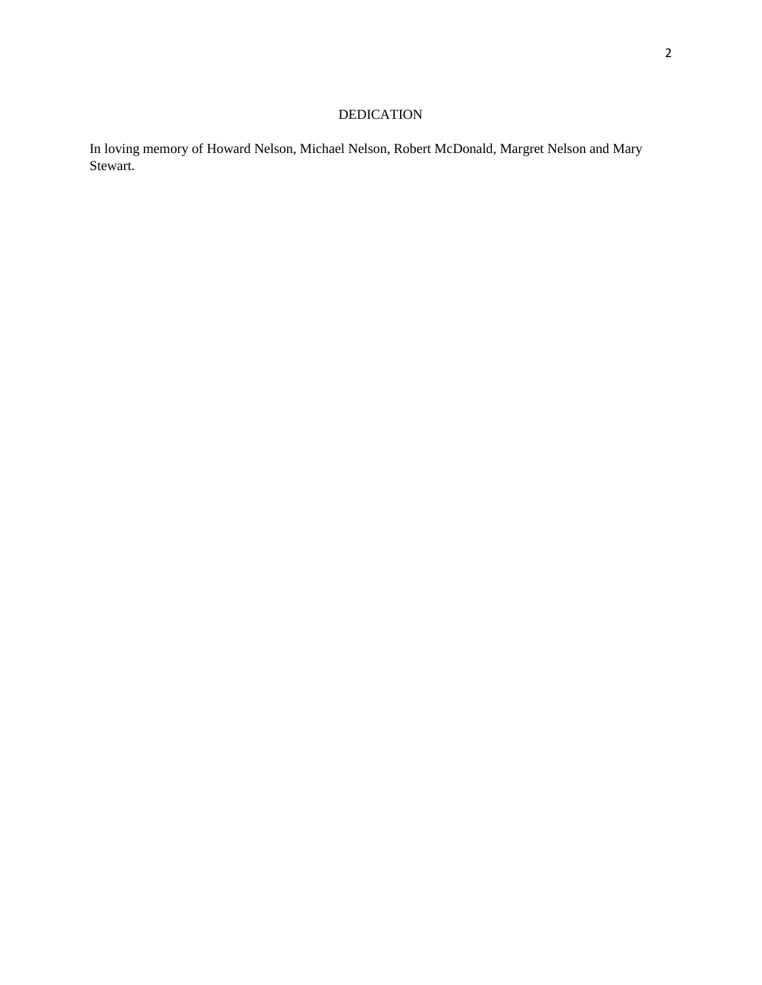# DEDICATION

In loving memory of Howard Nelson, Michael Nelson, Robert McDonald, Margret Nelson and Mary Stewart.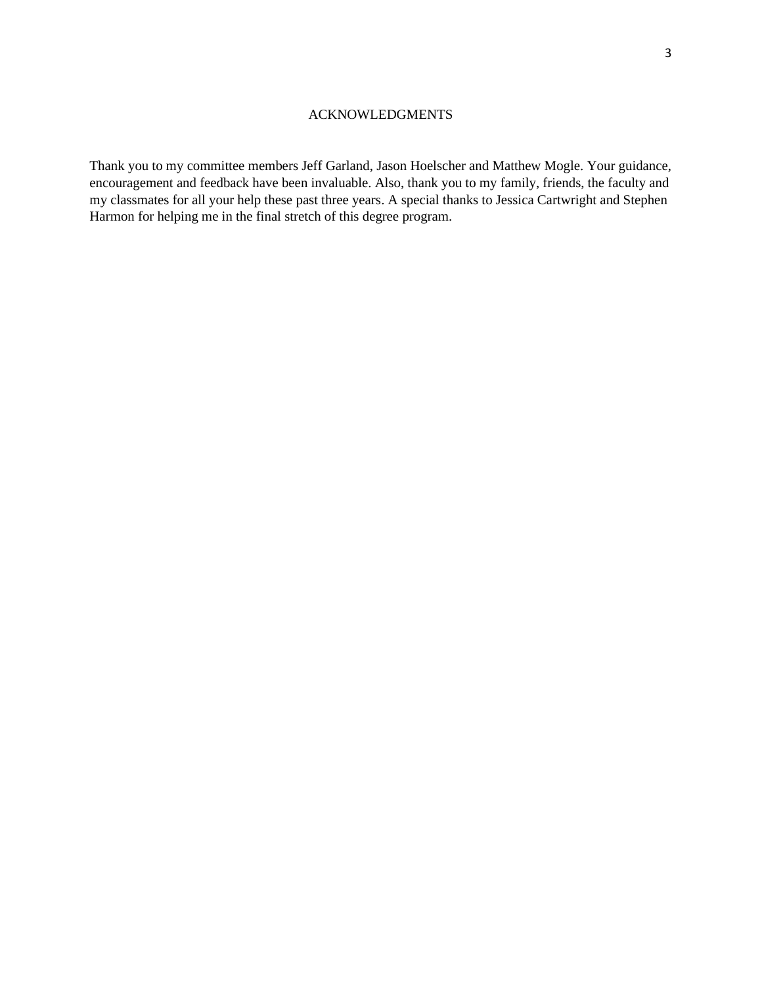Thank you to my committee members Jeff Garland, Jason Hoelscher and Matthew Mogle. Your guidance, encouragement and feedback have been invaluable. Also, thank you to my family, friends, the faculty and my classmates for all your help these past three years. A special thanks to Jessica Cartwright and Stephen Harmon for helping me in the final stretch of this degree program.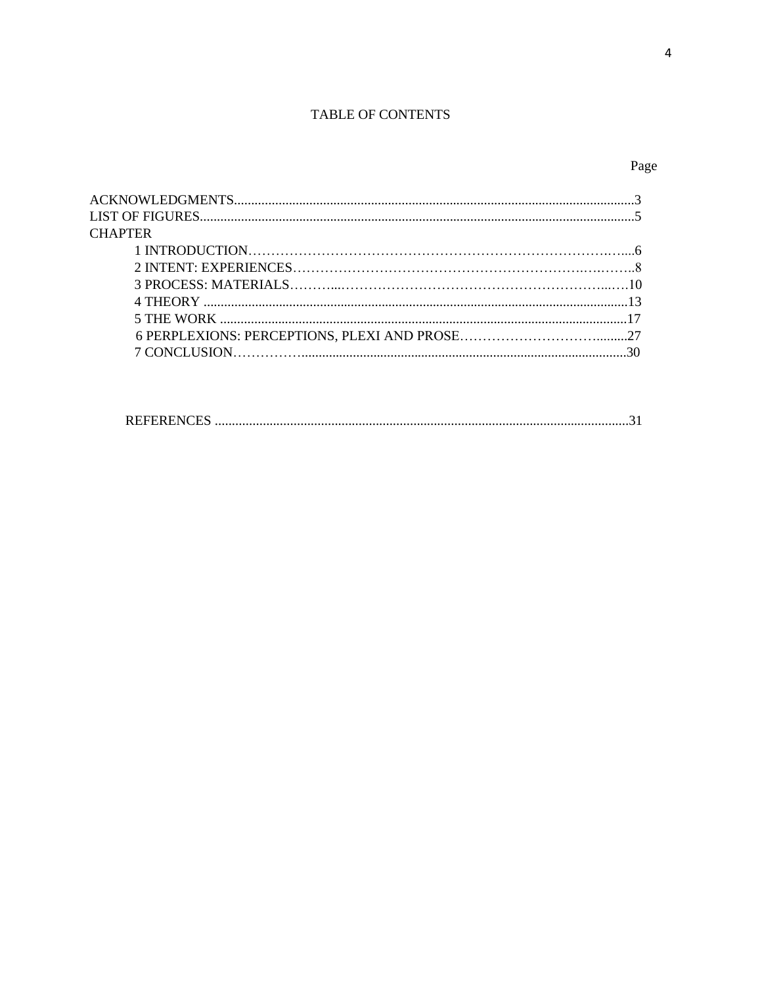### TABLE OF CONTENTS

# Page

| <b>CHAPTER</b> |  |
|----------------|--|
|                |  |
|                |  |
|                |  |
|                |  |
|                |  |
|                |  |
|                |  |
|                |  |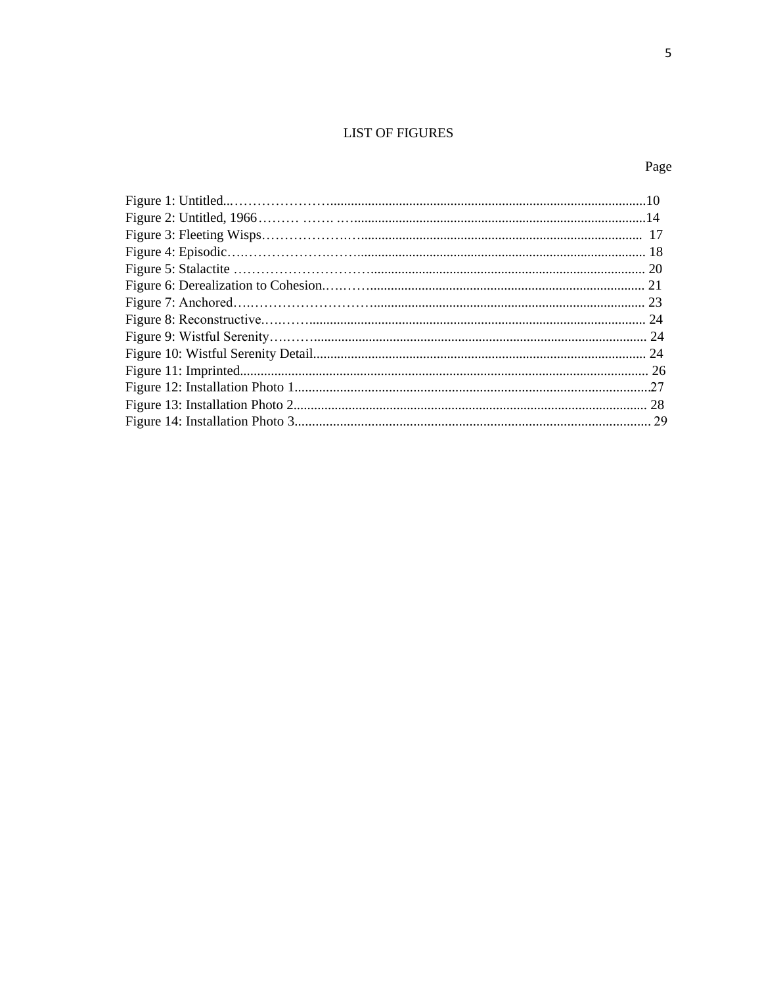## **LIST OF FIGURES**

# Page

| 28 |
|----|
|    |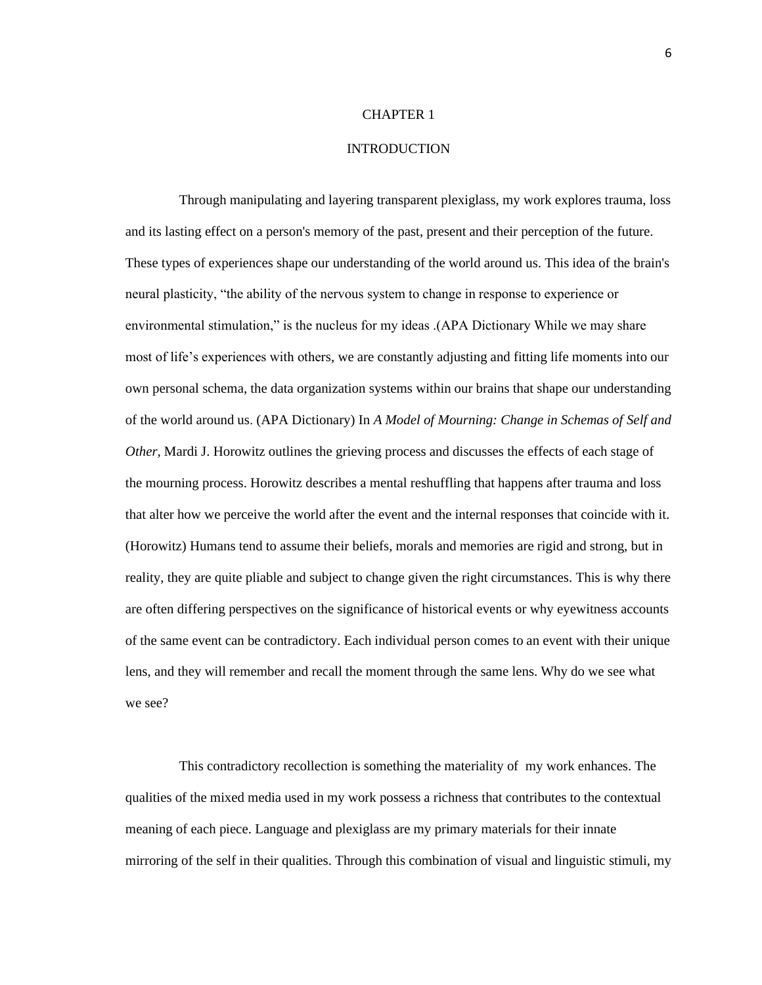#### **INTRODUCTION**

Through manipulating and layering transparent plexiglass, my work explores trauma, loss and its lasting effect on a person's memory of the past, present and their perception of the future. These types of experiences shape our understanding of the world around us. This idea of the brain's neural plasticity, "the ability of the nervous system to change in response to experience or environmental stimulation," is the nucleus for my ideas .(APA Dictionary While we may share most of life's experiences with others, we are constantly adjusting and fitting life moments into our own personal schema, the data organization systems within our brains that shape our understanding of the world around us. (APA Dictionary) In *A Model of Mourning: Change in Schemas of Self and Other,* Mardi J. Horowitz outlines the grieving process and discusses the effects of each stage of the mourning process. Horowitz describes a mental reshuffling that happens after trauma and loss that alter how we perceive the world after the event and the internal responses that coincide with it. (Horowitz) Humans tend to assume their beliefs, morals and memories are rigid and strong, but in reality, they are quite pliable and subject to change given the right circumstances. This is why there are often differing perspectives on the significance of historical events or why eyewitness accounts of the same event can be contradictory. Each individual person comes to an event with their unique lens, and they will remember and recall the moment through the same lens. Why do we see what we see?

This contradictory recollection is something the materiality of my work enhances. The qualities of the mixed media used in my work possess a richness that contributes to the contextual meaning of each piece. Language and plexiglass are my primary materials for their innate mirroring of the self in their qualities. Through this combination of visual and linguistic stimuli, my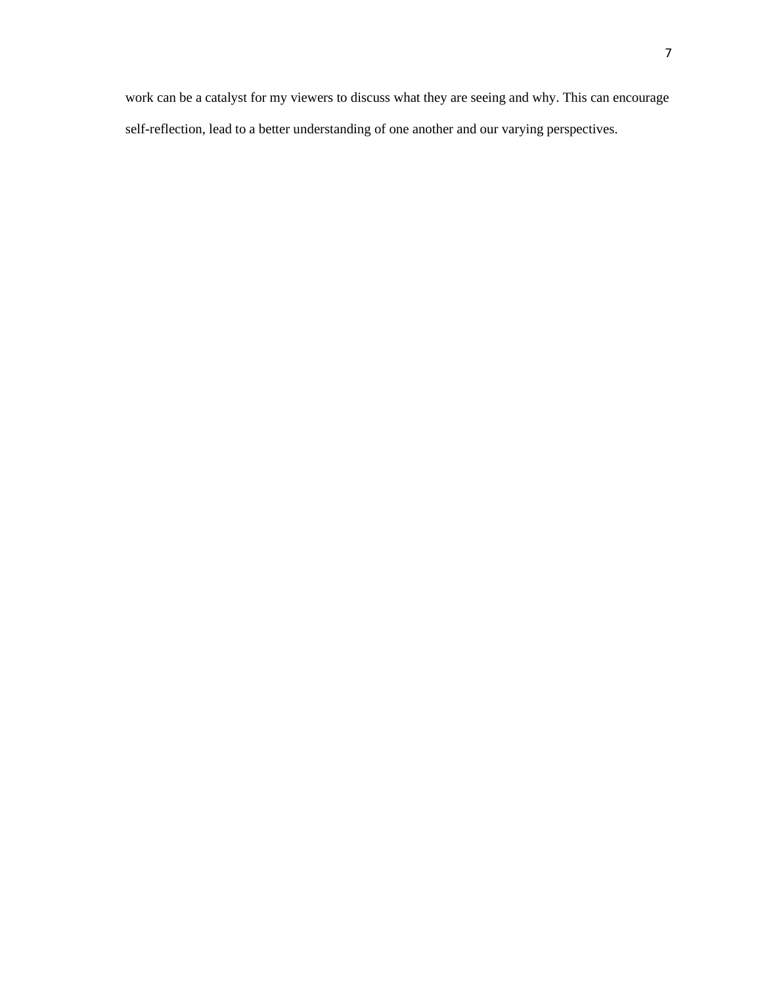work can be a catalyst for my viewers to discuss what they are seeing and why. This can encourage self-reflection, lead to a better understanding of one another and our varying perspectives.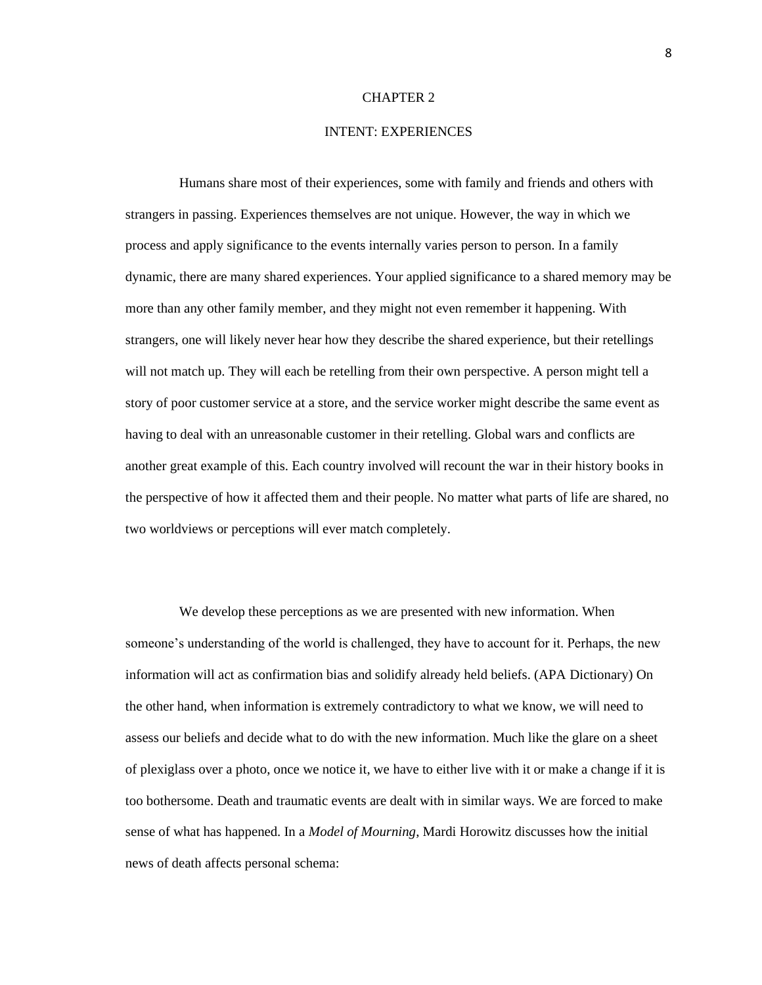#### INTENT: EXPERIENCES

Humans share most of their experiences, some with family and friends and others with strangers in passing. Experiences themselves are not unique. However, the way in which we process and apply significance to the events internally varies person to person. In a family dynamic, there are many shared experiences. Your applied significance to a shared memory may be more than any other family member, and they might not even remember it happening. With strangers, one will likely never hear how they describe the shared experience, but their retellings will not match up. They will each be retelling from their own perspective. A person might tell a story of poor customer service at a store, and the service worker might describe the same event as having to deal with an unreasonable customer in their retelling. Global wars and conflicts are another great example of this. Each country involved will recount the war in their history books in the perspective of how it affected them and their people. No matter what parts of life are shared, no two worldviews or perceptions will ever match completely.

We develop these perceptions as we are presented with new information. When someone's understanding of the world is challenged, they have to account for it. Perhaps, the new information will act as confirmation bias and solidify already held beliefs. (APA Dictionary) On the other hand, when information is extremely contradictory to what we know, we will need to assess our beliefs and decide what to do with the new information. Much like the glare on a sheet of plexiglass over a photo, once we notice it, we have to either live with it or make a change if it is too bothersome. Death and traumatic events are dealt with in similar ways. We are forced to make sense of what has happened. In a *Model of Mourning*, Mardi Horowitz discusses how the initial news of death affects personal schema: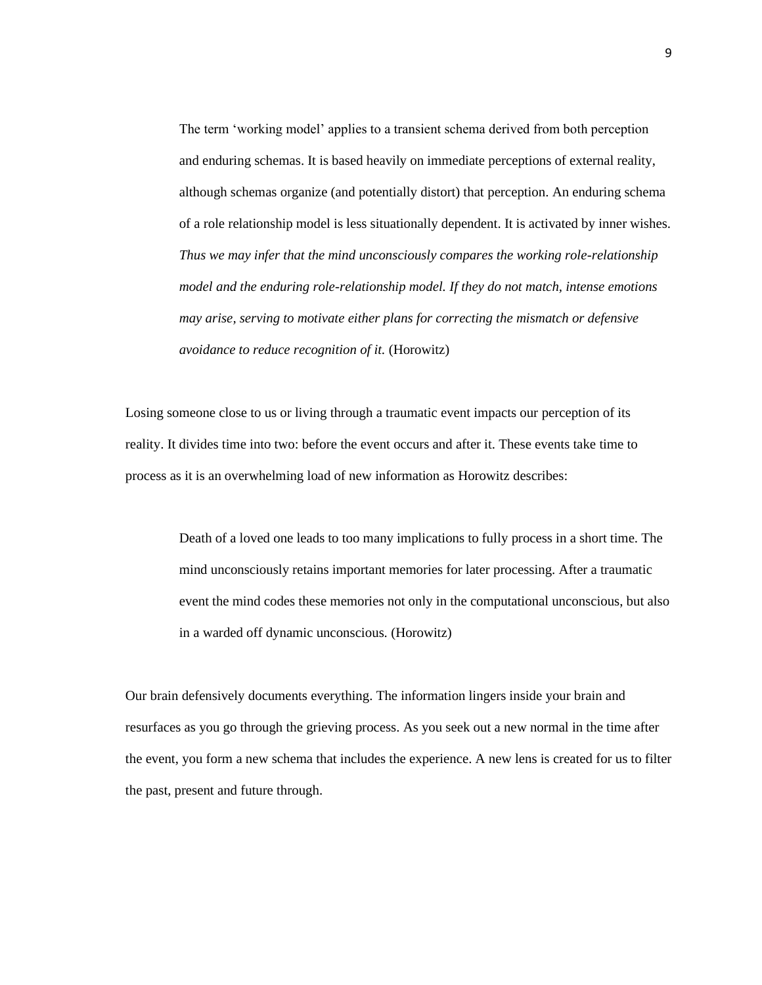The term 'working model' applies to a transient schema derived from both perception and enduring schemas. It is based heavily on immediate perceptions of external reality, although schemas organize (and potentially distort) that perception. An enduring schema of a role relationship model is less situationally dependent. It is activated by inner wishes. *Thus we may infer that the mind unconsciously compares the working role-relationship model and the enduring role-relationship model. If they do not match, intense emotions may arise, serving to motivate either plans for correcting the mismatch or defensive avoidance to reduce recognition of it.* (Horowitz)

Losing someone close to us or living through a traumatic event impacts our perception of its reality. It divides time into two: before the event occurs and after it. These events take time to process as it is an overwhelming load of new information as Horowitz describes:

> Death of a loved one leads to too many implications to fully process in a short time. The mind unconsciously retains important memories for later processing. After a traumatic event the mind codes these memories not only in the computational unconscious, but also in a warded off dynamic unconscious. (Horowitz)

Our brain defensively documents everything. The information lingers inside your brain and resurfaces as you go through the grieving process. As you seek out a new normal in the time after the event, you form a new schema that includes the experience. A new lens is created for us to filter the past, present and future through.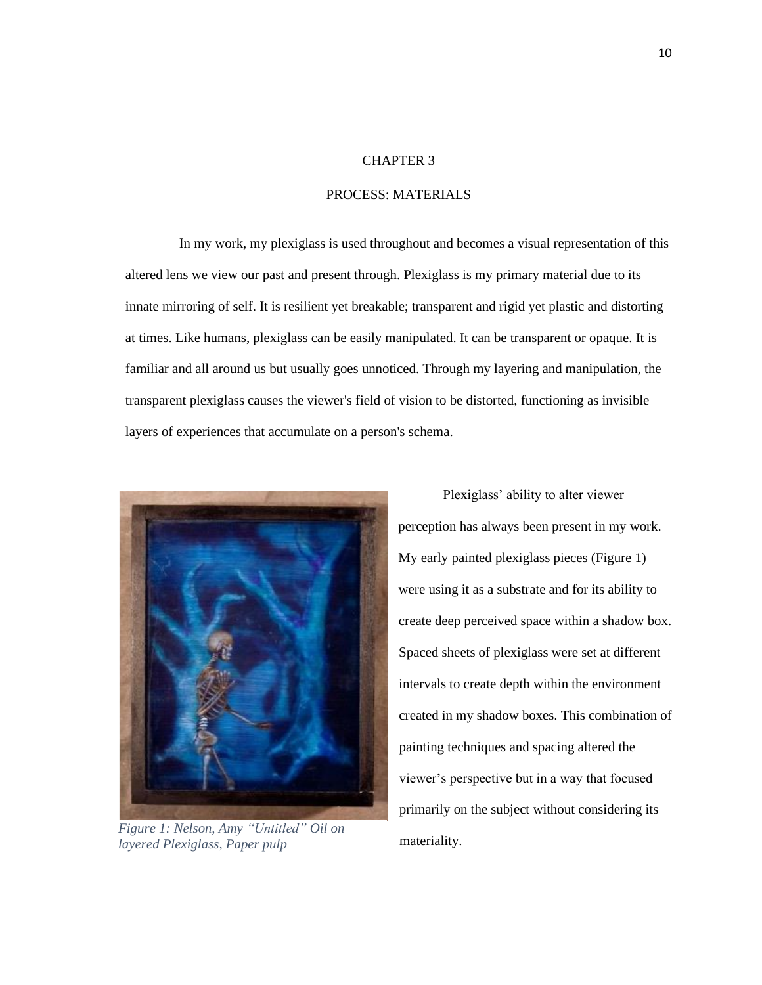#### PROCESS: MATERIALS

In my work, my plexiglass is used throughout and becomes a visual representation of this altered lens we view our past and present through. Plexiglass is my primary material due to its innate mirroring of self. It is resilient yet breakable; transparent and rigid yet plastic and distorting at times. Like humans, plexiglass can be easily manipulated. It can be transparent or opaque. It is familiar and all around us but usually goes unnoticed. Through my layering and manipulation, the transparent plexiglass causes the viewer's field of vision to be distorted, functioning as invisible layers of experiences that accumulate on a person's schema.



*Figure 1: Nelson, Amy "Untitled" Oil on layered Plexiglass, Paper pulp*

Plexiglass' ability to alter viewer perception has always been present in my work. My early painted plexiglass pieces (Figure 1) were using it as a substrate and for its ability to create deep perceived space within a shadow box. Spaced sheets of plexiglass were set at different intervals to create depth within the environment created in my shadow boxes. This combination of painting techniques and spacing altered the viewer's perspective but in a way that focused primarily on the subject without considering its materiality.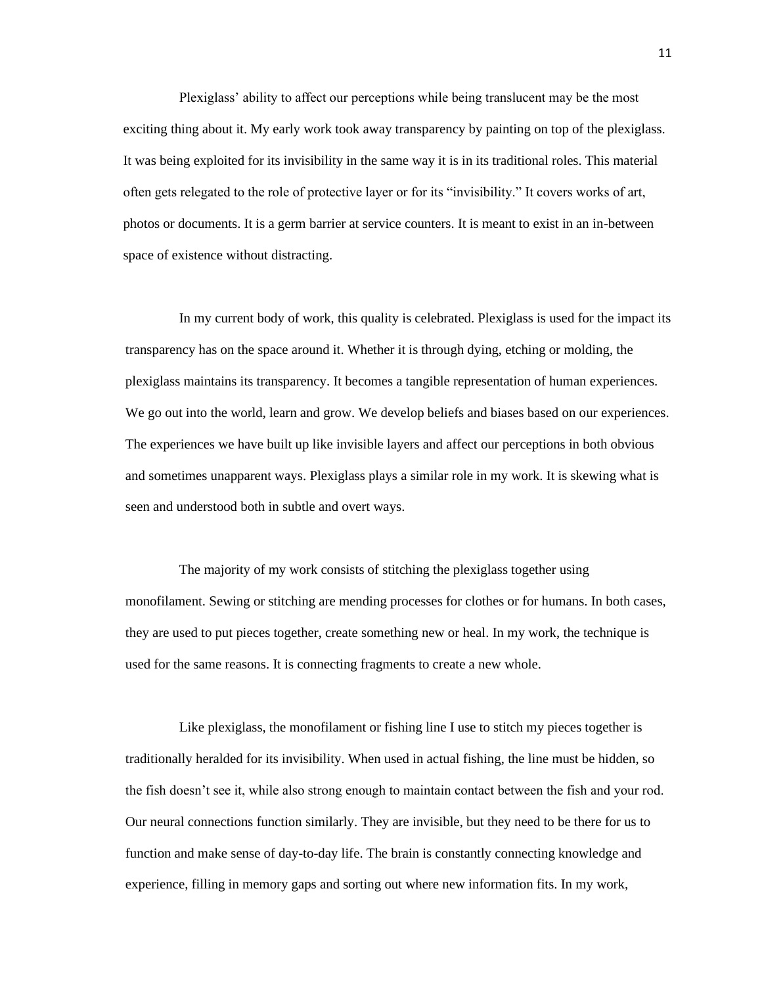Plexiglass' ability to affect our perceptions while being translucent may be the most exciting thing about it. My early work took away transparency by painting on top of the plexiglass. It was being exploited for its invisibility in the same way it is in its traditional roles. This material often gets relegated to the role of protective layer or for its "invisibility." It covers works of art, photos or documents. It is a germ barrier at service counters. It is meant to exist in an in-between space of existence without distracting.

In my current body of work, this quality is celebrated. Plexiglass is used for the impact its transparency has on the space around it. Whether it is through dying, etching or molding, the plexiglass maintains its transparency. It becomes a tangible representation of human experiences. We go out into the world, learn and grow. We develop beliefs and biases based on our experiences. The experiences we have built up like invisible layers and affect our perceptions in both obvious and sometimes unapparent ways. Plexiglass plays a similar role in my work. It is skewing what is seen and understood both in subtle and overt ways.

The majority of my work consists of stitching the plexiglass together using monofilament. Sewing or stitching are mending processes for clothes or for humans. In both cases, they are used to put pieces together, create something new or heal. In my work, the technique is used for the same reasons. It is connecting fragments to create a new whole.

Like plexiglass, the monofilament or fishing line I use to stitch my pieces together is traditionally heralded for its invisibility. When used in actual fishing, the line must be hidden, so the fish doesn't see it, while also strong enough to maintain contact between the fish and your rod. Our neural connections function similarly. They are invisible, but they need to be there for us to function and make sense of day-to-day life. The brain is constantly connecting knowledge and experience, filling in memory gaps and sorting out where new information fits. In my work,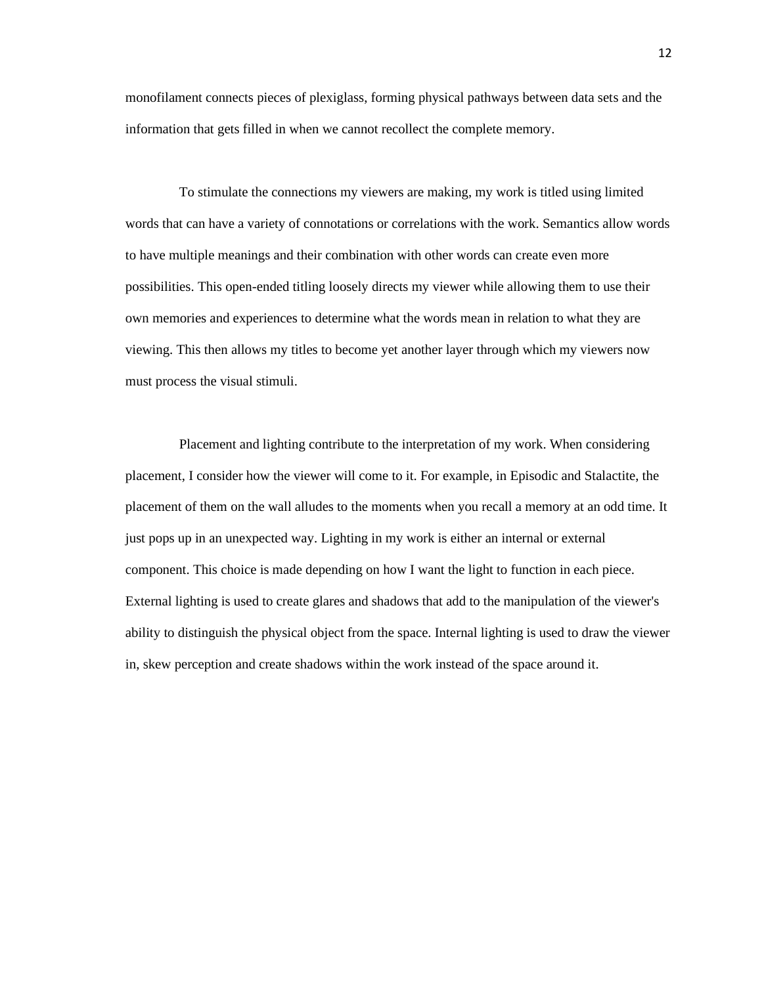monofilament connects pieces of plexiglass, forming physical pathways between data sets and the information that gets filled in when we cannot recollect the complete memory.

To stimulate the connections my viewers are making, my work is titled using limited words that can have a variety of connotations or correlations with the work. Semantics allow words to have multiple meanings and their combination with other words can create even more possibilities. This open-ended titling loosely directs my viewer while allowing them to use their own memories and experiences to determine what the words mean in relation to what they are viewing. This then allows my titles to become yet another layer through which my viewers now must process the visual stimuli.

Placement and lighting contribute to the interpretation of my work. When considering placement, I consider how the viewer will come to it. For example, in Episodic and Stalactite, the placement of them on the wall alludes to the moments when you recall a memory at an odd time. It just pops up in an unexpected way. Lighting in my work is either an internal or external component. This choice is made depending on how I want the light to function in each piece. External lighting is used to create glares and shadows that add to the manipulation of the viewer's ability to distinguish the physical object from the space. Internal lighting is used to draw the viewer in, skew perception and create shadows within the work instead of the space around it.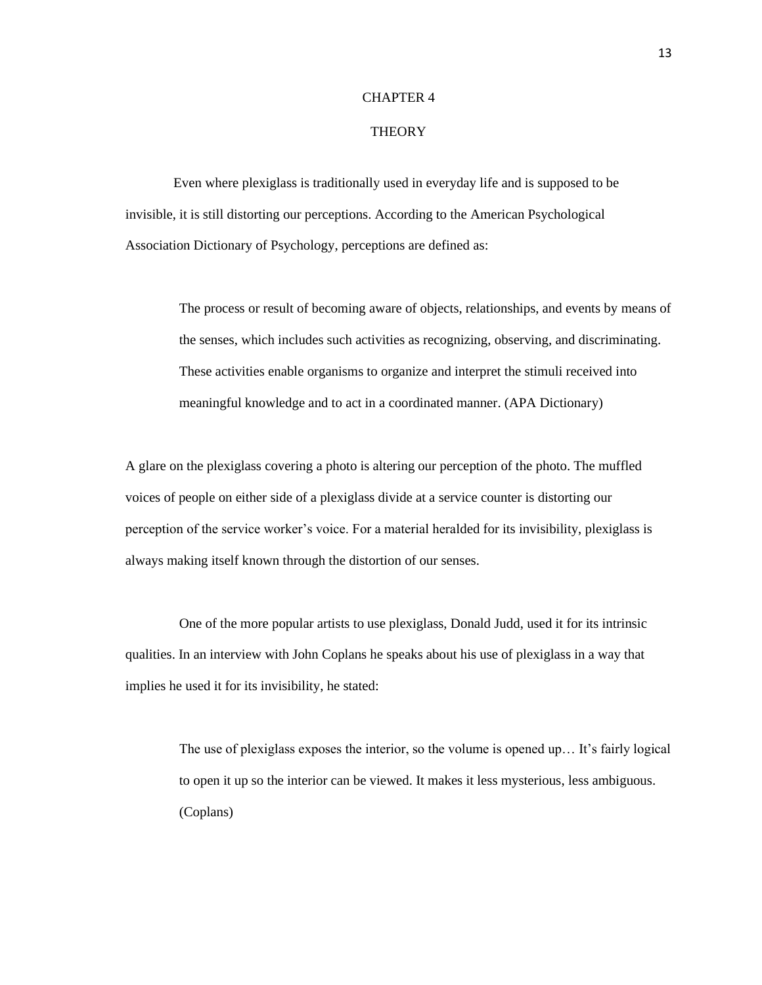#### **THEORY**

 Even where plexiglass is traditionally used in everyday life and is supposed to be invisible, it is still distorting our perceptions. According to the American Psychological Association Dictionary of Psychology, perceptions are defined as:

> The process or result of becoming aware of objects, relationships, and events by means of the senses, which includes such activities as recognizing, observing, and discriminating. These activities enable organisms to organize and interpret the stimuli received into meaningful knowledge and to act in a coordinated manner. (APA Dictionary)

A glare on the plexiglass covering a photo is altering our perception of the photo. The muffled voices of people on either side of a plexiglass divide at a service counter is distorting our perception of the service worker's voice. For a material heralded for its invisibility, plexiglass is always making itself known through the distortion of our senses.

One of the more popular artists to use plexiglass, Donald Judd, used it for its intrinsic qualities. In an interview with John Coplans he speaks about his use of plexiglass in a way that implies he used it for its invisibility, he stated:

The use of plexiglass exposes the interior, so the volume is opened up… It's fairly logical to open it up so the interior can be viewed. It makes it less mysterious, less ambiguous. (Coplans)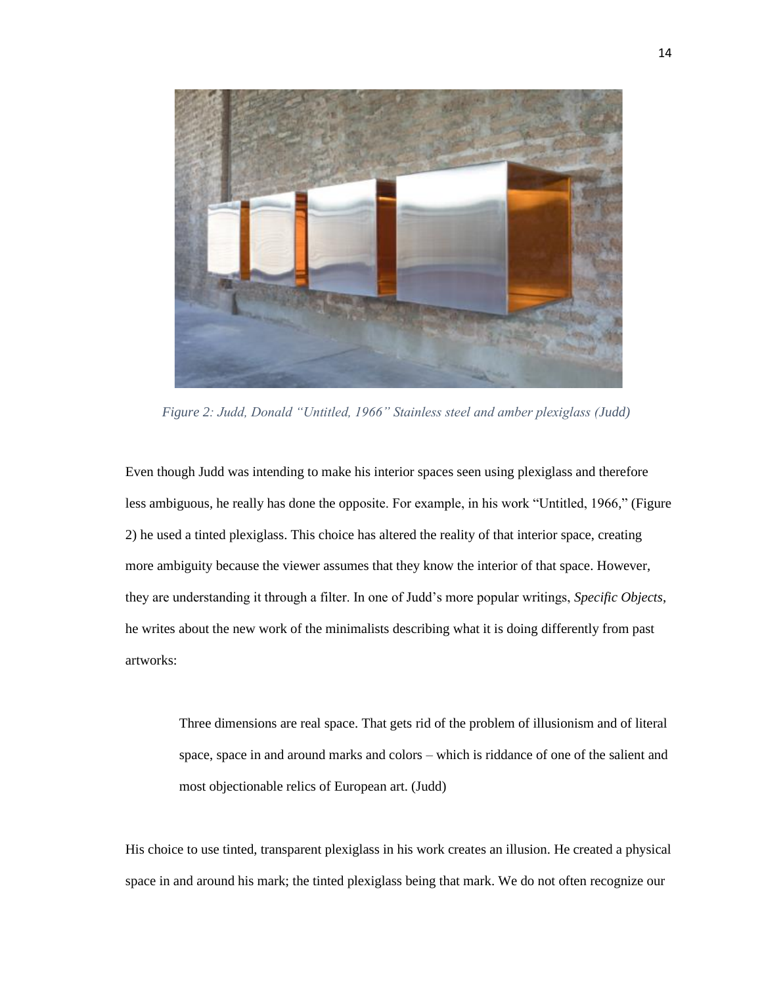

 *Figure 2: Judd, Donald "Untitled, 1966" Stainless steel and amber plexiglass (Judd)*

Even though Judd was intending to make his interior spaces seen using plexiglass and therefore less ambiguous, he really has done the opposite. For example, in his work "Untitled, 1966," (Figure 2) he used a tinted plexiglass. This choice has altered the reality of that interior space, creating more ambiguity because the viewer assumes that they know the interior of that space. However, they are understanding it through a filter. In one of Judd's more popular writings, *Specific Objects*, he writes about the new work of the minimalists describing what it is doing differently from past artworks:

Three dimensions are real space. That gets rid of the problem of illusionism and of literal space, space in and around marks and colors – which is riddance of one of the salient and most objectionable relics of European art. (Judd)

His choice to use tinted, transparent plexiglass in his work creates an illusion. He created a physical space in and around his mark; the tinted plexiglass being that mark. We do not often recognize our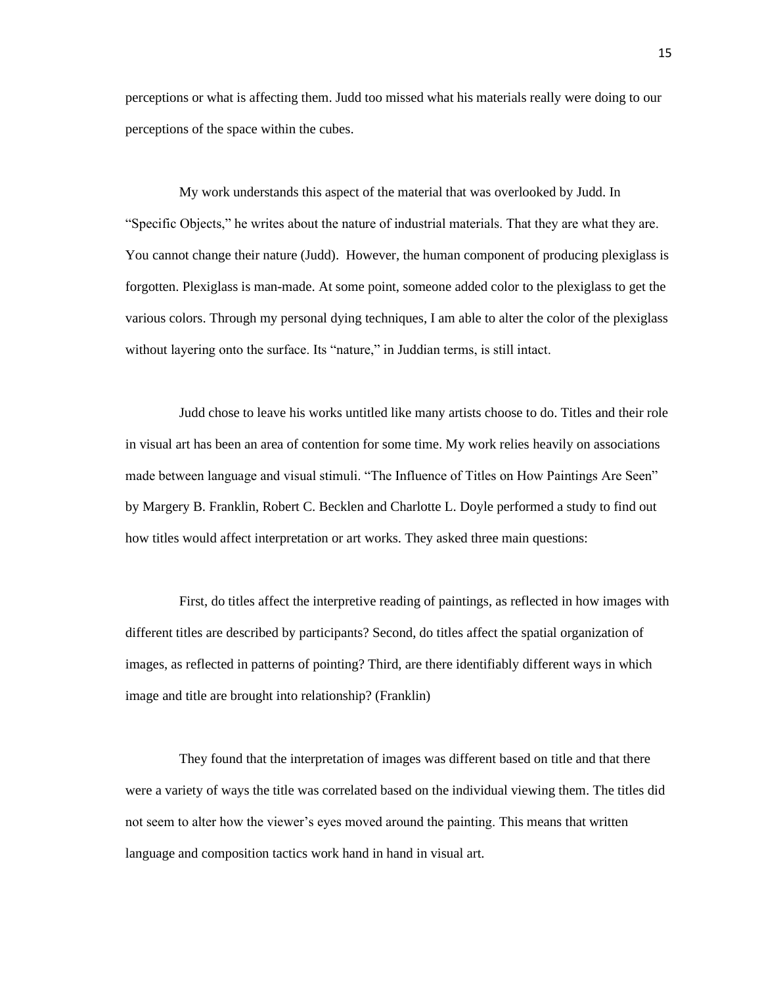perceptions or what is affecting them. Judd too missed what his materials really were doing to our perceptions of the space within the cubes.

My work understands this aspect of the material that was overlooked by Judd. In "Specific Objects," he writes about the nature of industrial materials. That they are what they are. You cannot change their nature (Judd). However, the human component of producing plexiglass is forgotten. Plexiglass is man-made. At some point, someone added color to the plexiglass to get the various colors. Through my personal dying techniques, I am able to alter the color of the plexiglass without layering onto the surface. Its "nature," in Juddian terms, is still intact.

Judd chose to leave his works untitled like many artists choose to do. Titles and their role in visual art has been an area of contention for some time. My work relies heavily on associations made between language and visual stimuli. "The Influence of Titles on How Paintings Are Seen" by Margery B. Franklin, Robert C. Becklen and Charlotte L. Doyle performed a study to find out how titles would affect interpretation or art works. They asked three main questions:

First, do titles affect the interpretive reading of paintings, as reflected in how images with different titles are described by participants? Second, do titles affect the spatial organization of images, as reflected in patterns of pointing? Third, are there identifiably different ways in which image and title are brought into relationship? (Franklin)

They found that the interpretation of images was different based on title and that there were a variety of ways the title was correlated based on the individual viewing them. The titles did not seem to alter how the viewer's eyes moved around the painting. This means that written language and composition tactics work hand in hand in visual art.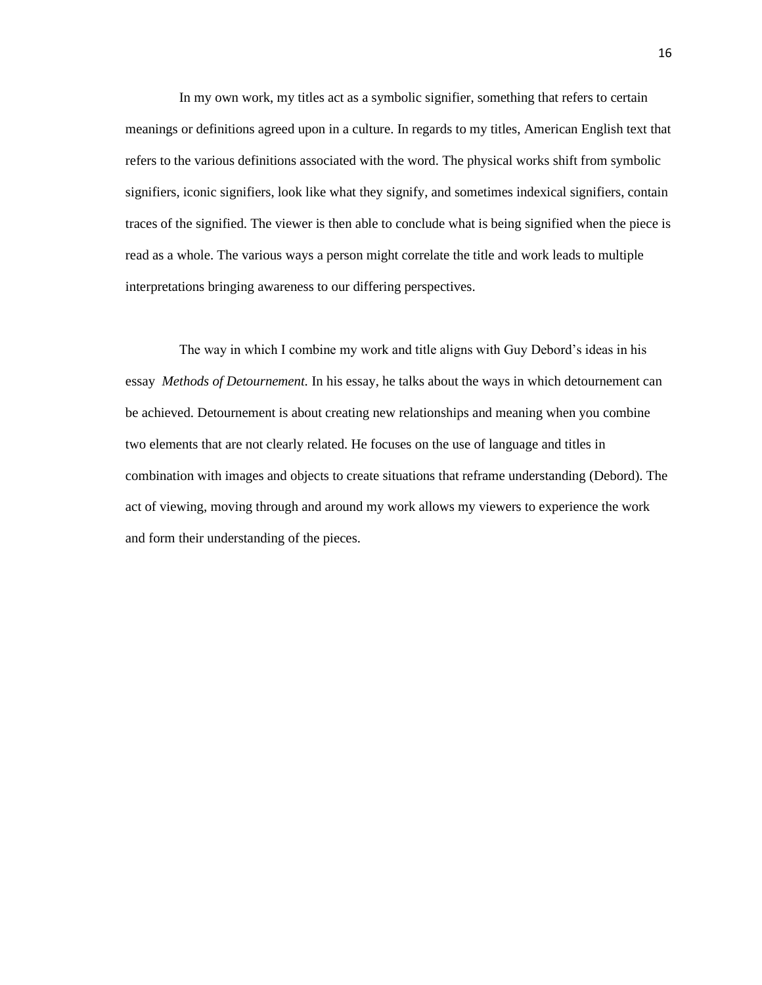In my own work, my titles act as a symbolic signifier, something that refers to certain meanings or definitions agreed upon in a culture. In regards to my titles, American English text that refers to the various definitions associated with the word. The physical works shift from symbolic signifiers, iconic signifiers, look like what they signify, and sometimes indexical signifiers, contain traces of the signified. The viewer is then able to conclude what is being signified when the piece is read as a whole. The various ways a person might correlate the title and work leads to multiple interpretations bringing awareness to our differing perspectives.

The way in which I combine my work and title aligns with Guy Debord's ideas in his essay *Methods of Detournement.* In his essay, he talks about the ways in which detournement can be achieved. Detournement is about creating new relationships and meaning when you combine two elements that are not clearly related. He focuses on the use of language and titles in combination with images and objects to create situations that reframe understanding (Debord). The act of viewing, moving through and around my work allows my viewers to experience the work and form their understanding of the pieces.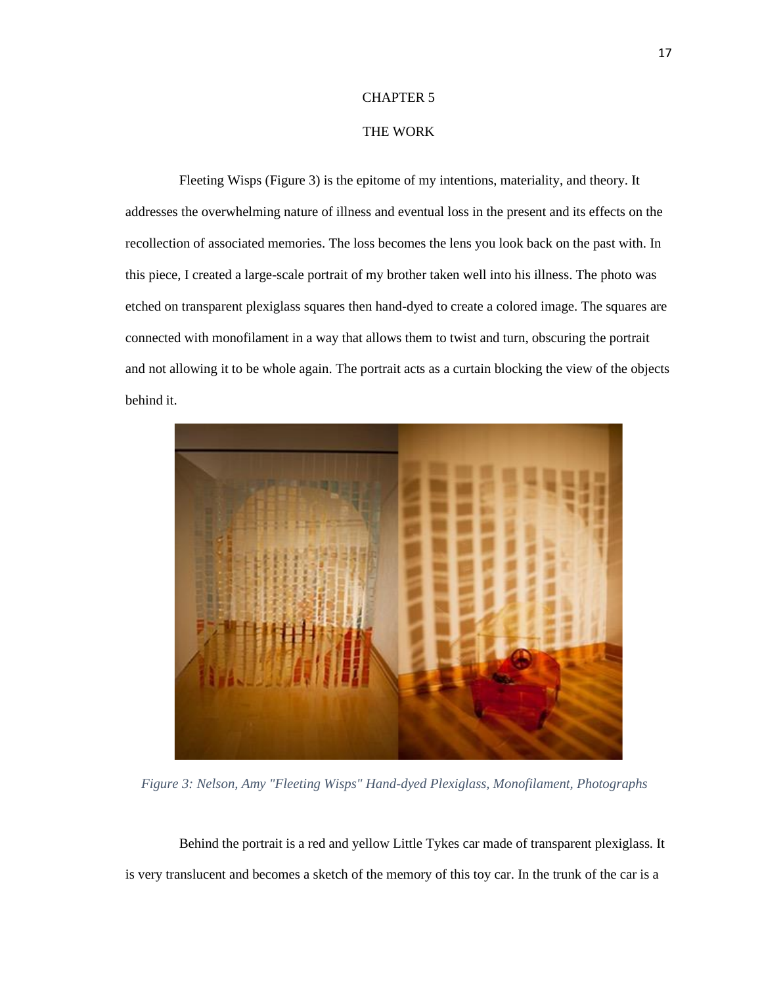#### THE WORK

Fleeting Wisps (Figure 3) is the epitome of my intentions, materiality, and theory. It addresses the overwhelming nature of illness and eventual loss in the present and its effects on the recollection of associated memories. The loss becomes the lens you look back on the past with. In this piece, I created a large-scale portrait of my brother taken well into his illness. The photo was etched on transparent plexiglass squares then hand-dyed to create a colored image. The squares are connected with monofilament in a way that allows them to twist and turn, obscuring the portrait and not allowing it to be whole again. The portrait acts as a curtain blocking the view of the objects behind it.



 *Figure 3: Nelson, Amy "Fleeting Wisps" Hand-dyed Plexiglass, Monofilament, Photographs*

Behind the portrait is a red and yellow Little Tykes car made of transparent plexiglass. It is very translucent and becomes a sketch of the memory of this toy car. In the trunk of the car is a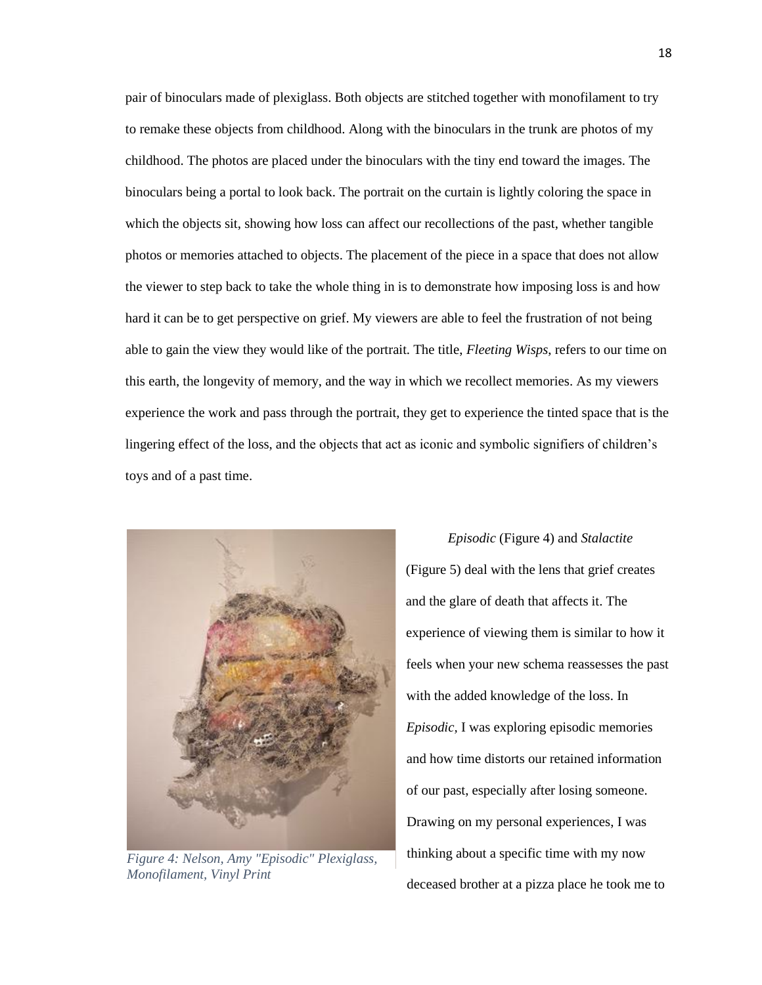pair of binoculars made of plexiglass. Both objects are stitched together with monofilament to try to remake these objects from childhood. Along with the binoculars in the trunk are photos of my childhood. The photos are placed under the binoculars with the tiny end toward the images. The binoculars being a portal to look back. The portrait on the curtain is lightly coloring the space in which the objects sit, showing how loss can affect our recollections of the past, whether tangible photos or memories attached to objects. The placement of the piece in a space that does not allow the viewer to step back to take the whole thing in is to demonstrate how imposing loss is and how hard it can be to get perspective on grief. My viewers are able to feel the frustration of not being able to gain the view they would like of the portrait. The title, *Fleeting Wisps*, refers to our time on this earth, the longevity of memory, and the way in which we recollect memories. As my viewers experience the work and pass through the portrait, they get to experience the tinted space that is the lingering effect of the loss, and the objects that act as iconic and symbolic signifiers of children's toys and of a past time.



*Figure 4: Nelson, Amy "Episodic" Plexiglass, Monofilament, Vinyl Print*

*Episodic* (Figure 4) and *Stalactite* (Figure 5) deal with the lens that grief creates and the glare of death that affects it. The experience of viewing them is similar to how it feels when your new schema reassesses the past with the added knowledge of the loss. In *Episodic,* I was exploring episodic memories and how time distorts our retained information of our past, especially after losing someone. Drawing on my personal experiences, I was thinking about a specific time with my now deceased brother at a pizza place he took me to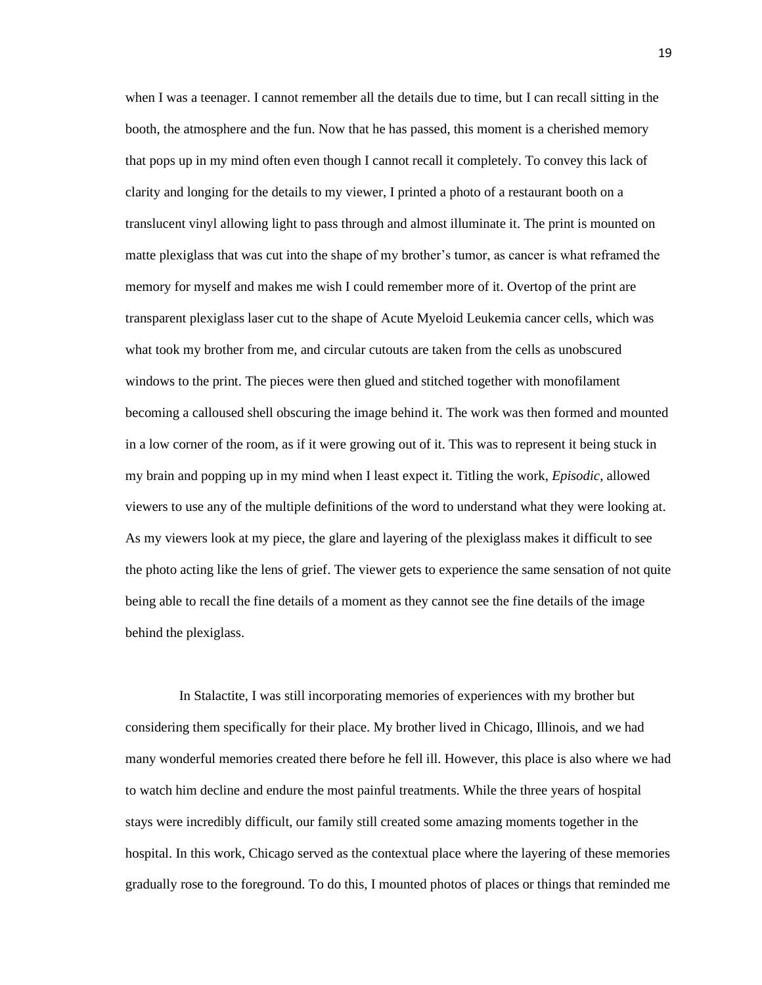when I was a teenager. I cannot remember all the details due to time, but I can recall sitting in the booth, the atmosphere and the fun. Now that he has passed, this moment is a cherished memory that pops up in my mind often even though I cannot recall it completely. To convey this lack of clarity and longing for the details to my viewer, I printed a photo of a restaurant booth on a translucent vinyl allowing light to pass through and almost illuminate it. The print is mounted on matte plexiglass that was cut into the shape of my brother's tumor, as cancer is what reframed the memory for myself and makes me wish I could remember more of it. Overtop of the print are transparent plexiglass laser cut to the shape of Acute Myeloid Leukemia cancer cells, which was what took my brother from me, and circular cutouts are taken from the cells as unobscured windows to the print. The pieces were then glued and stitched together with monofilament becoming a calloused shell obscuring the image behind it. The work was then formed and mounted in a low corner of the room, as if it were growing out of it. This was to represent it being stuck in my brain and popping up in my mind when I least expect it. Titling the work, *Episodic*, allowed viewers to use any of the multiple definitions of the word to understand what they were looking at. As my viewers look at my piece, the glare and layering of the plexiglass makes it difficult to see the photo acting like the lens of grief. The viewer gets to experience the same sensation of not quite being able to recall the fine details of a moment as they cannot see the fine details of the image behind the plexiglass.

In Stalactite, I was still incorporating memories of experiences with my brother but considering them specifically for their place. My brother lived in Chicago, Illinois, and we had many wonderful memories created there before he fell ill. However, this place is also where we had to watch him decline and endure the most painful treatments. While the three years of hospital stays were incredibly difficult, our family still created some amazing moments together in the hospital. In this work, Chicago served as the contextual place where the layering of these memories gradually rose to the foreground. To do this, I mounted photos of places or things that reminded me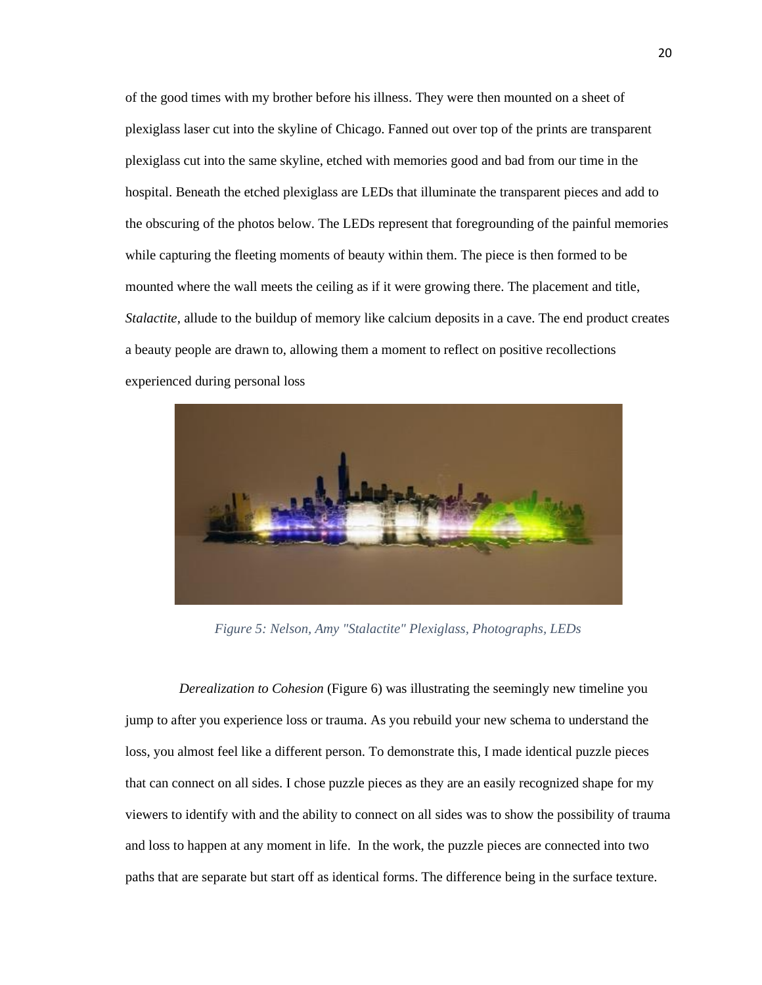of the good times with my brother before his illness. They were then mounted on a sheet of plexiglass laser cut into the skyline of Chicago. Fanned out over top of the prints are transparent plexiglass cut into the same skyline, etched with memories good and bad from our time in the hospital. Beneath the etched plexiglass are LEDs that illuminate the transparent pieces and add to the obscuring of the photos below. The LEDs represent that foregrounding of the painful memories while capturing the fleeting moments of beauty within them. The piece is then formed to be mounted where the wall meets the ceiling as if it were growing there. The placement and title, *Stalactite*, allude to the buildup of memory like calcium deposits in a cave. The end product creates a beauty people are drawn to, allowing them a moment to reflect on positive recollections experienced during personal loss



 *Figure 5: Nelson, Amy "Stalactite" Plexiglass, Photographs, LEDs*

*Derealization to Cohesion* (Figure 6) was illustrating the seemingly new timeline you jump to after you experience loss or trauma. As you rebuild your new schema to understand the loss, you almost feel like a different person. To demonstrate this, I made identical puzzle pieces that can connect on all sides. I chose puzzle pieces as they are an easily recognized shape for my viewers to identify with and the ability to connect on all sides was to show the possibility of trauma and loss to happen at any moment in life. In the work, the puzzle pieces are connected into two paths that are separate but start off as identical forms. The difference being in the surface texture.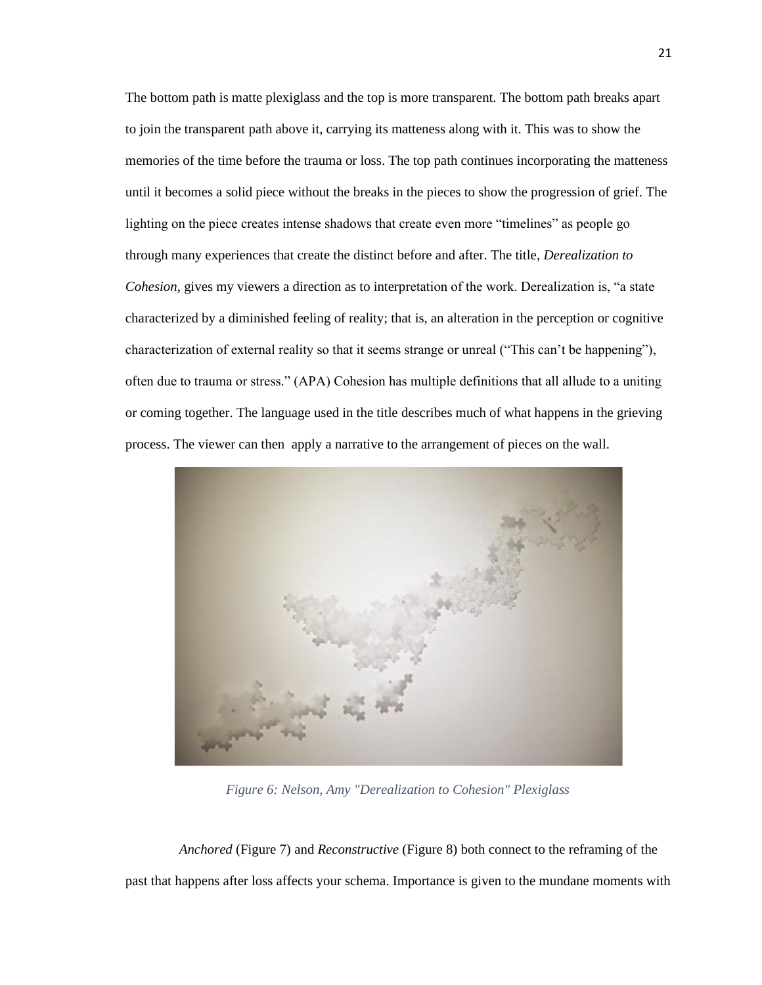The bottom path is matte plexiglass and the top is more transparent. The bottom path breaks apart to join the transparent path above it, carrying its matteness along with it. This was to show the memories of the time before the trauma or loss. The top path continues incorporating the matteness until it becomes a solid piece without the breaks in the pieces to show the progression of grief. The lighting on the piece creates intense shadows that create even more "timelines" as people go through many experiences that create the distinct before and after. The title, *Derealization to Cohesion*, gives my viewers a direction as to interpretation of the work. Derealization is, "a state characterized by a diminished feeling of reality; that is, an alteration in the perception or cognitive characterization of external reality so that it seems strange or unreal ("This can't be happening"), often due to trauma or stress." (APA) Cohesion has multiple definitions that all allude to a uniting or coming together. The language used in the title describes much of what happens in the grieving process. The viewer can then apply a narrative to the arrangement of pieces on the wall.



 *Figure 6: Nelson, Amy "Derealization to Cohesion" Plexiglass*

*Anchored* (Figure 7) and *Reconstructive* (Figure 8) both connect to the reframing of the past that happens after loss affects your schema. Importance is given to the mundane moments with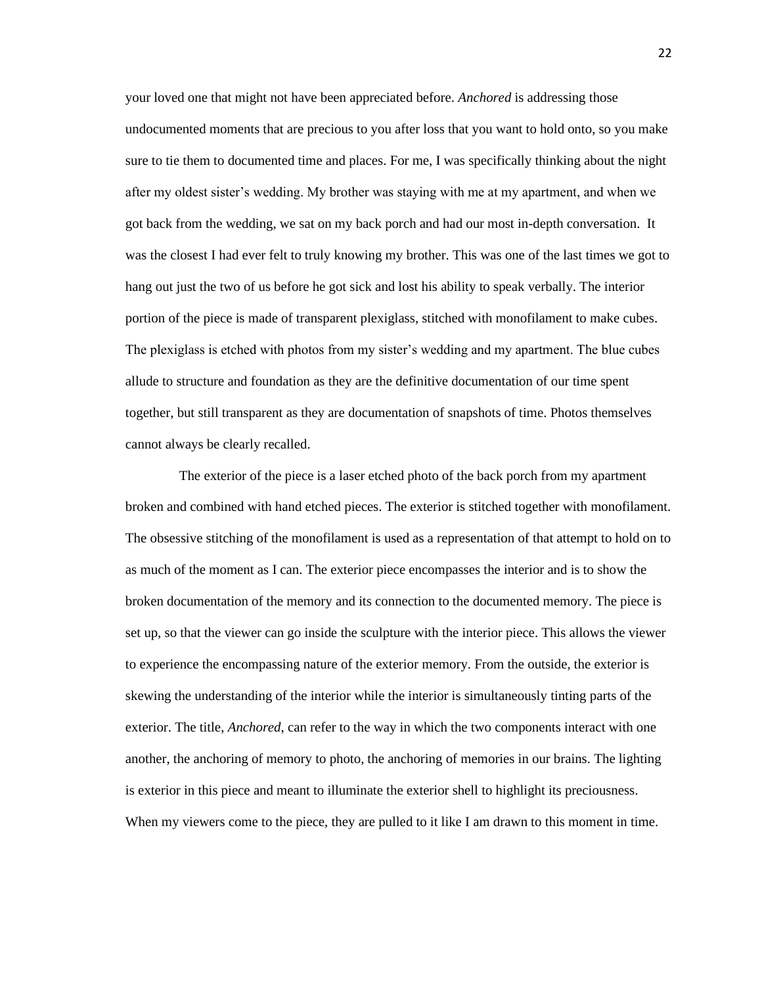your loved one that might not have been appreciated before. *Anchored* is addressing those undocumented moments that are precious to you after loss that you want to hold onto, so you make sure to tie them to documented time and places. For me, I was specifically thinking about the night after my oldest sister's wedding. My brother was staying with me at my apartment, and when we got back from the wedding, we sat on my back porch and had our most in-depth conversation. It was the closest I had ever felt to truly knowing my brother. This was one of the last times we got to hang out just the two of us before he got sick and lost his ability to speak verbally. The interior portion of the piece is made of transparent plexiglass, stitched with monofilament to make cubes. The plexiglass is etched with photos from my sister's wedding and my apartment. The blue cubes allude to structure and foundation as they are the definitive documentation of our time spent together, but still transparent as they are documentation of snapshots of time. Photos themselves cannot always be clearly recalled.

The exterior of the piece is a laser etched photo of the back porch from my apartment broken and combined with hand etched pieces. The exterior is stitched together with monofilament. The obsessive stitching of the monofilament is used as a representation of that attempt to hold on to as much of the moment as I can. The exterior piece encompasses the interior and is to show the broken documentation of the memory and its connection to the documented memory. The piece is set up, so that the viewer can go inside the sculpture with the interior piece. This allows the viewer to experience the encompassing nature of the exterior memory. From the outside, the exterior is skewing the understanding of the interior while the interior is simultaneously tinting parts of the exterior. The title, *Anchored*, can refer to the way in which the two components interact with one another, the anchoring of memory to photo, the anchoring of memories in our brains. The lighting is exterior in this piece and meant to illuminate the exterior shell to highlight its preciousness. When my viewers come to the piece, they are pulled to it like I am drawn to this moment in time.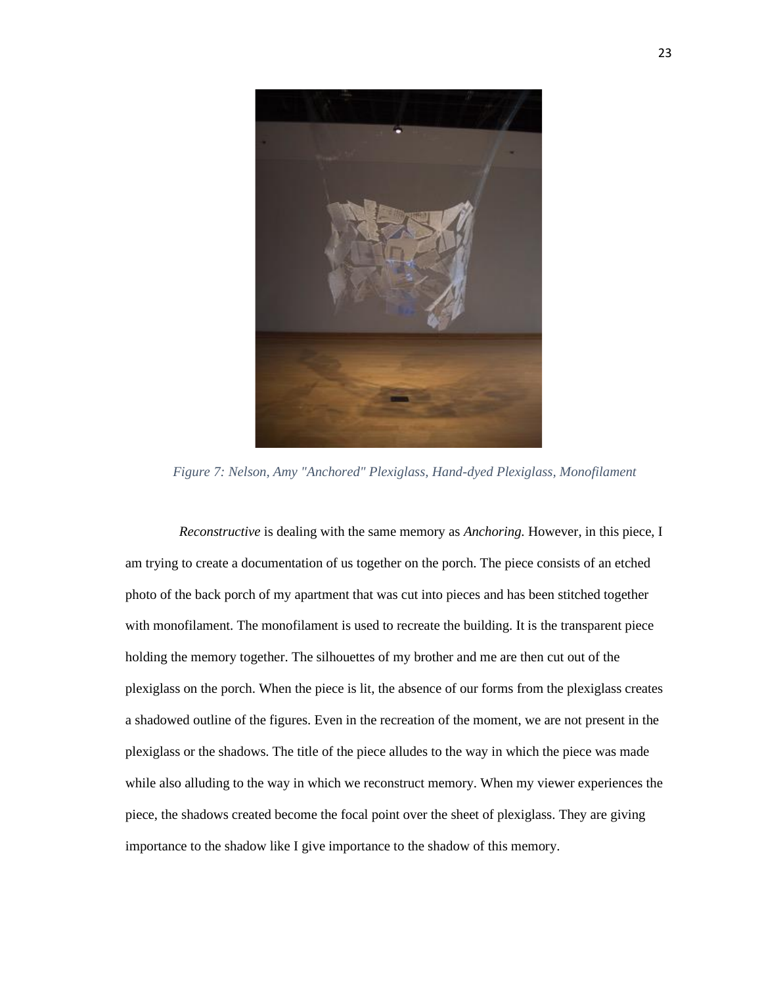

*Figure 7: Nelson, Amy "Anchored" Plexiglass, Hand-dyed Plexiglass, Monofilament*

*Reconstructive* is dealing with the same memory as *Anchoring.* However, in this piece, I am trying to create a documentation of us together on the porch. The piece consists of an etched photo of the back porch of my apartment that was cut into pieces and has been stitched together with monofilament. The monofilament is used to recreate the building. It is the transparent piece holding the memory together. The silhouettes of my brother and me are then cut out of the plexiglass on the porch. When the piece is lit, the absence of our forms from the plexiglass creates a shadowed outline of the figures. Even in the recreation of the moment, we are not present in the plexiglass or the shadows. The title of the piece alludes to the way in which the piece was made while also alluding to the way in which we reconstruct memory. When my viewer experiences the piece, the shadows created become the focal point over the sheet of plexiglass. They are giving importance to the shadow like I give importance to the shadow of this memory.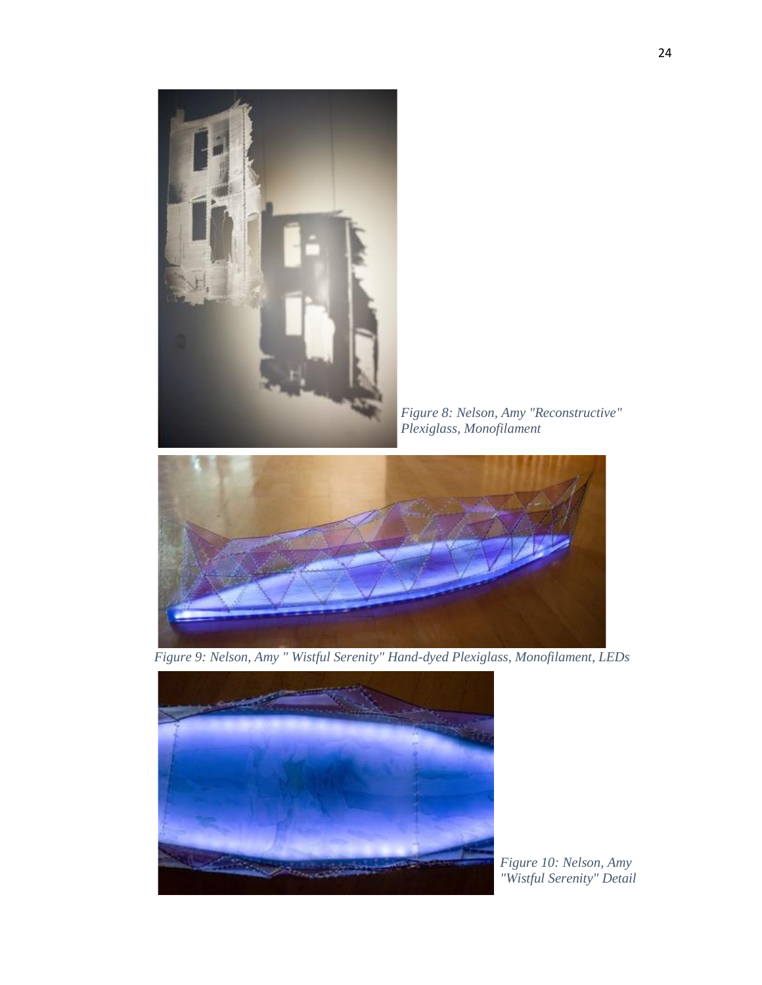

*Figure 8: Nelson, Amy "Reconstructive" Plexiglass, Monofilament*



*Figure 9: Nelson, Amy " Wistful Serenity" Hand-dyed Plexiglass, Monofilament, LEDs*



*Figure 10: Nelson, Amy "Wistful Serenity" Detail*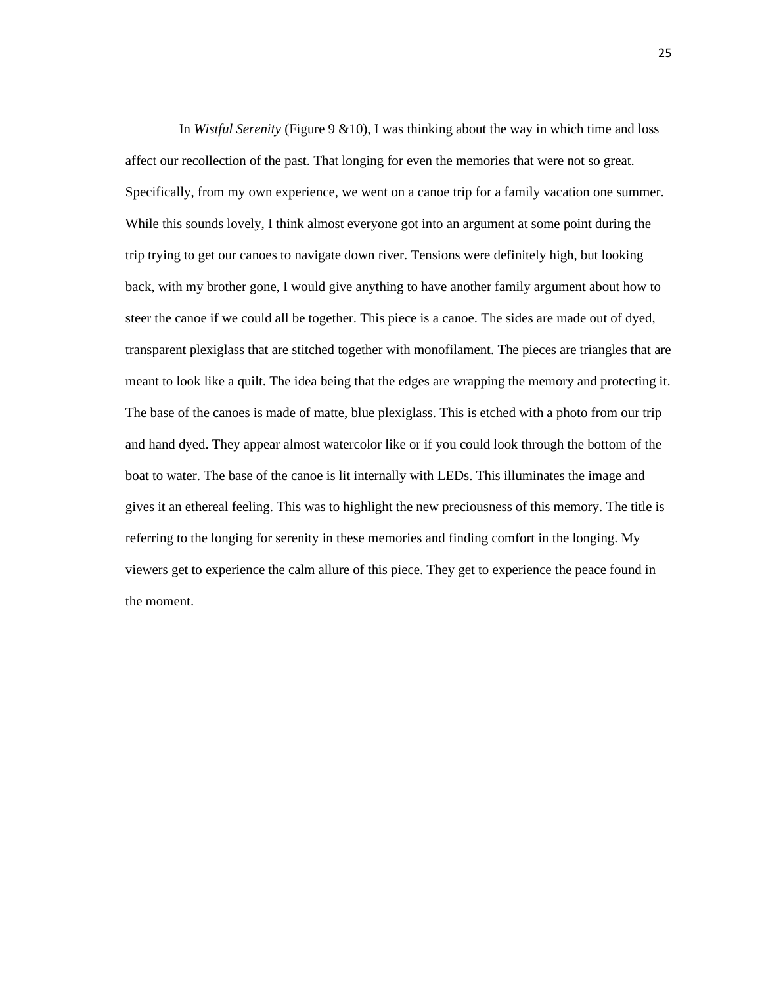In *Wistful Serenity* (Figure 9 &10), I was thinking about the way in which time and loss affect our recollection of the past. That longing for even the memories that were not so great. Specifically, from my own experience, we went on a canoe trip for a family vacation one summer. While this sounds lovely, I think almost everyone got into an argument at some point during the trip trying to get our canoes to navigate down river. Tensions were definitely high, but looking back, with my brother gone, I would give anything to have another family argument about how to steer the canoe if we could all be together. This piece is a canoe. The sides are made out of dyed, transparent plexiglass that are stitched together with monofilament. The pieces are triangles that are meant to look like a quilt. The idea being that the edges are wrapping the memory and protecting it. The base of the canoes is made of matte, blue plexiglass. This is etched with a photo from our trip and hand dyed. They appear almost watercolor like or if you could look through the bottom of the boat to water. The base of the canoe is lit internally with LEDs. This illuminates the image and gives it an ethereal feeling. This was to highlight the new preciousness of this memory. The title is referring to the longing for serenity in these memories and finding comfort in the longing. My viewers get to experience the calm allure of this piece. They get to experience the peace found in the moment.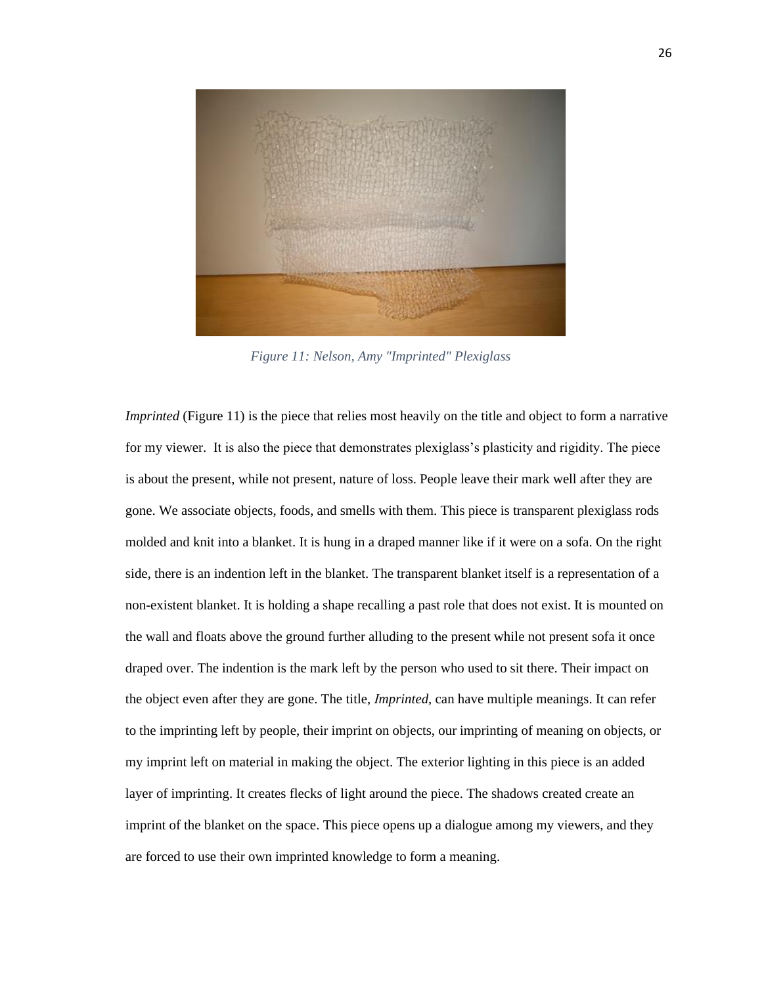

*Figure 11: Nelson, Amy "Imprinted" Plexiglass*

*Imprinted* (Figure 11) is the piece that relies most heavily on the title and object to form a narrative for my viewer. It is also the piece that demonstrates plexiglass's plasticity and rigidity. The piece is about the present, while not present, nature of loss. People leave their mark well after they are gone. We associate objects, foods, and smells with them. This piece is transparent plexiglass rods molded and knit into a blanket. It is hung in a draped manner like if it were on a sofa. On the right side, there is an indention left in the blanket. The transparent blanket itself is a representation of a non-existent blanket. It is holding a shape recalling a past role that does not exist. It is mounted on the wall and floats above the ground further alluding to the present while not present sofa it once draped over. The indention is the mark left by the person who used to sit there. Their impact on the object even after they are gone. The title, *Imprinted*, can have multiple meanings. It can refer to the imprinting left by people, their imprint on objects, our imprinting of meaning on objects, or my imprint left on material in making the object. The exterior lighting in this piece is an added layer of imprinting. It creates flecks of light around the piece. The shadows created create an imprint of the blanket on the space. This piece opens up a dialogue among my viewers, and they are forced to use their own imprinted knowledge to form a meaning.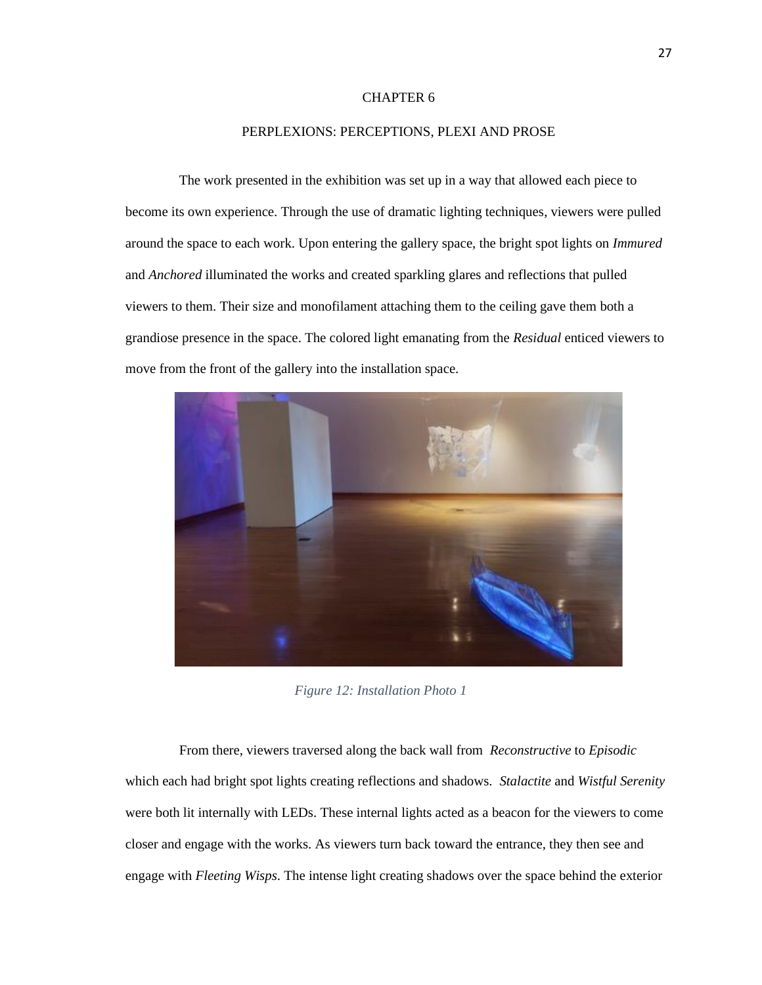#### PERPLEXIONS: PERCEPTIONS, PLEXI AND PROSE

The work presented in the exhibition was set up in a way that allowed each piece to become its own experience. Through the use of dramatic lighting techniques, viewers were pulled around the space to each work. Upon entering the gallery space, the bright spot lights on *Immured*  and *Anchored* illuminated the works and created sparkling glares and reflections that pulled viewers to them. Their size and monofilament attaching them to the ceiling gave them both a grandiose presence in the space. The colored light emanating from the *Residual* enticed viewers to move from the front of the gallery into the installation space.



*Figure 12: Installation Photo 1*

From there, viewers traversed along the back wall from *Reconstructive* to *Episodic* which each had bright spot lights creating reflections and shadows. *Stalactite* and *Wistful Serenity* were both lit internally with LEDs. These internal lights acted as a beacon for the viewers to come closer and engage with the works. As viewers turn back toward the entrance, they then see and engage with *Fleeting Wisps*. The intense light creating shadows over the space behind the exterior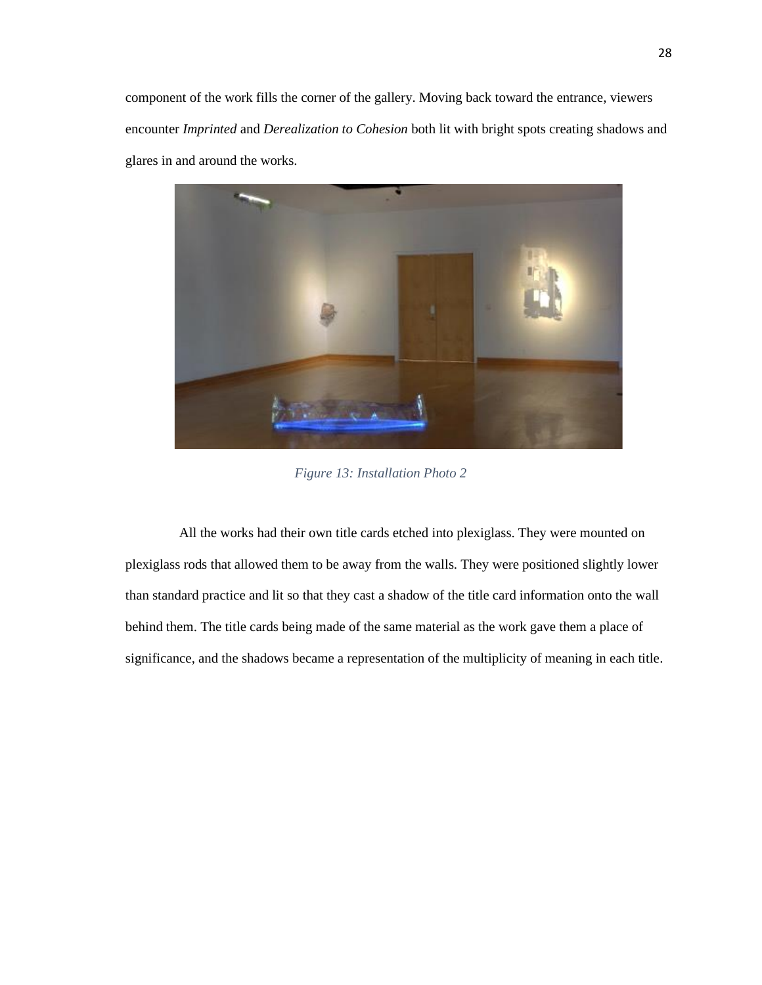component of the work fills the corner of the gallery. Moving back toward the entrance, viewers encounter *Imprinted* and *Derealization to Cohesion* both lit with bright spots creating shadows and glares in and around the works.



*Figure 13: Installation Photo 2*

All the works had their own title cards etched into plexiglass. They were mounted on plexiglass rods that allowed them to be away from the walls. They were positioned slightly lower than standard practice and lit so that they cast a shadow of the title card information onto the wall behind them. The title cards being made of the same material as the work gave them a place of significance, and the shadows became a representation of the multiplicity of meaning in each title.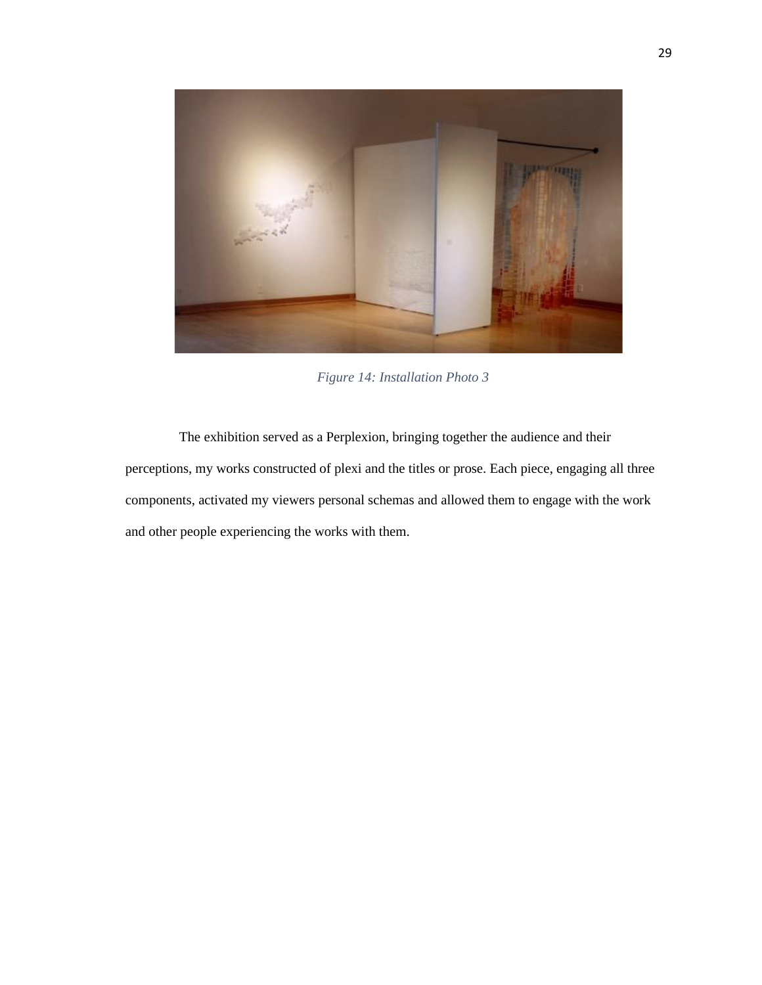

*Figure 14: Installation Photo 3*

The exhibition served as a Perplexion, bringing together the audience and their perceptions, my works constructed of plexi and the titles or prose. Each piece, engaging all three components, activated my viewers personal schemas and allowed them to engage with the work and other people experiencing the works with them.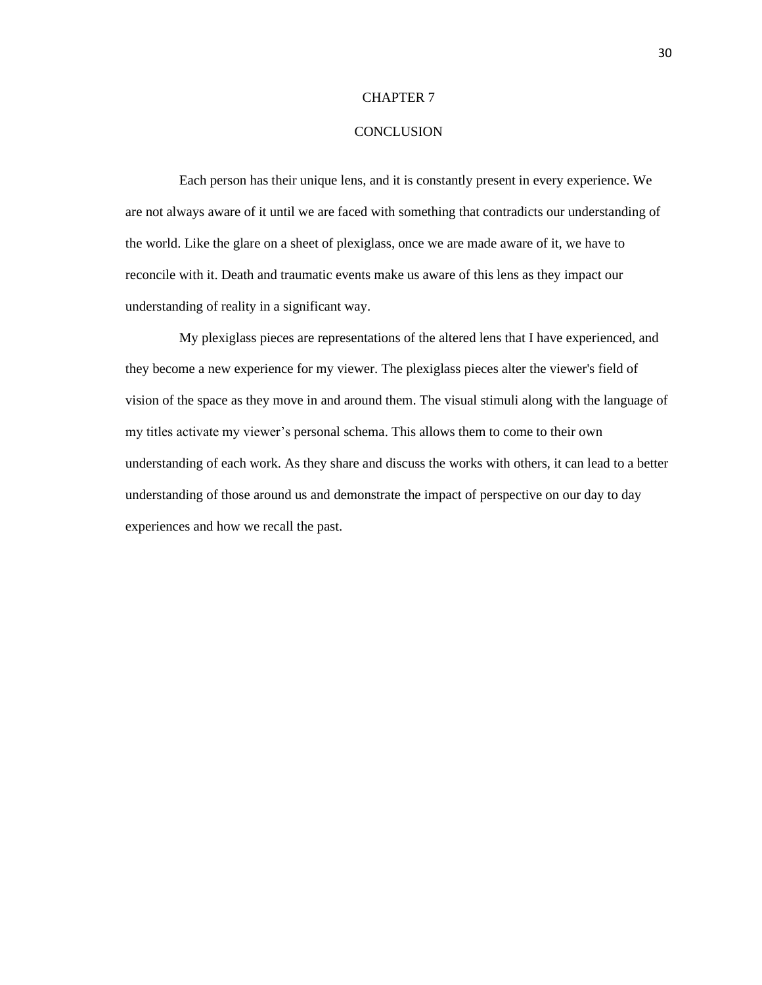#### **CONCLUSION**

Each person has their unique lens, and it is constantly present in every experience. We are not always aware of it until we are faced with something that contradicts our understanding of the world. Like the glare on a sheet of plexiglass, once we are made aware of it, we have to reconcile with it. Death and traumatic events make us aware of this lens as they impact our understanding of reality in a significant way.

My plexiglass pieces are representations of the altered lens that I have experienced, and they become a new experience for my viewer. The plexiglass pieces alter the viewer's field of vision of the space as they move in and around them. The visual stimuli along with the language of my titles activate my viewer's personal schema. This allows them to come to their own understanding of each work. As they share and discuss the works with others, it can lead to a better understanding of those around us and demonstrate the impact of perspective on our day to day experiences and how we recall the past.